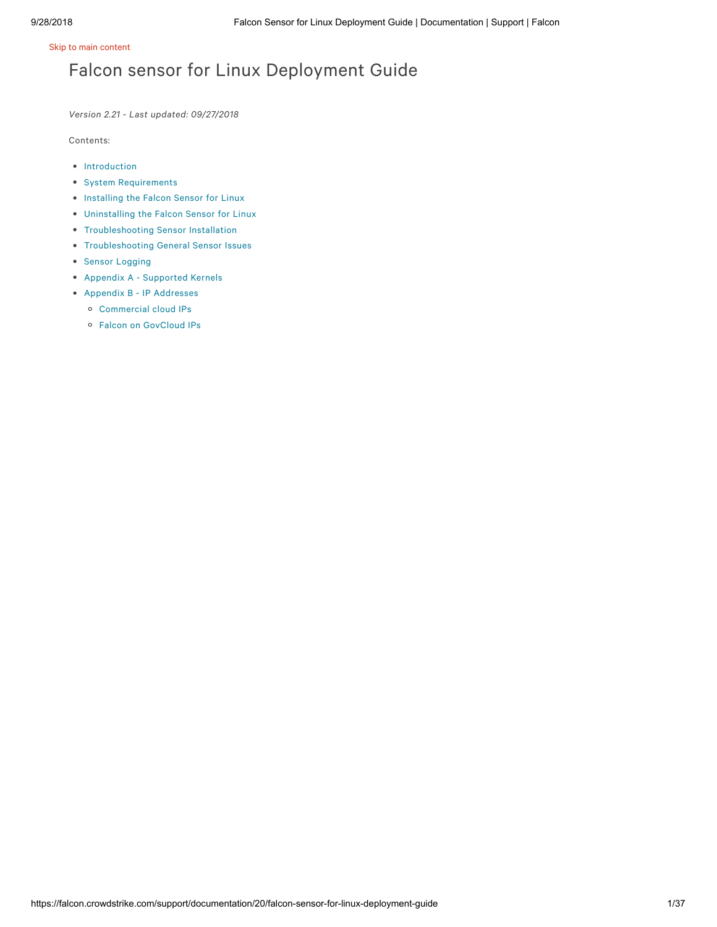# Falcon sensor for Linux Deployment Guide

*Version 2.21 - Last updated: 09/27/2018*

Contents:

- [Introduction](https://falcon.crowdstrike.com/support/documentation/20/falcon-host-sensor-deployment-guide-linux-kernel-based-sensor#intro)
- System [Requirements](https://falcon.crowdstrike.com/support/documentation/20/falcon-host-sensor-deployment-guide-linux-kernel-based-sensor#requirements)
- [Installing](https://falcon.crowdstrike.com/support/documentation/20/falcon-host-sensor-deployment-guide-linux-kernel-based-sensor#install) the Falcon Sensor for Linux
- [Uninstalling](https://falcon.crowdstrike.com/support/documentation/20/falcon-host-sensor-deployment-guide-linux-kernel-based-sensor#uninstall) the Falcon Sensor for Linux
- **•** [Troubleshooting](https://falcon.crowdstrike.com/support/documentation/20/falcon-host-sensor-deployment-guide-linux-kernel-based-sensor#troubleinstall) Sensor Installation
- [Troubleshooting](https://falcon.crowdstrike.com/support/documentation/20/falcon-host-sensor-deployment-guide-linux-kernel-based-sensor#troublegeneral) General Sensor Issues
- Sensor [Logging](https://falcon.crowdstrike.com/support/documentation/20/falcon-host-sensor-deployment-guide-linux-kernel-based-sensor#logging)
- Appendix A [Supported](https://falcon.crowdstrike.com/support/documentation/20/falcon-host-sensor-deployment-guide-linux-kernel-based-sensor#supported) Kernels
- Appendix B IP [Addresses](https://falcon.crowdstrike.com/support/documentation/20/falcon-host-sensor-deployment-guide-linux-kernel-based-sensor#ipaddresses)
	- [Commercial](https://falcon.crowdstrike.com/support/documentation/20/falcon-host-sensor-deployment-guide-windows#ccloudips) cloud IPs
	- Falcon on [GovCloud](https://falcon.crowdstrike.com/support/documentation/20/falcon-host-sensor-deployment-guide-windows#govcloudips) IPs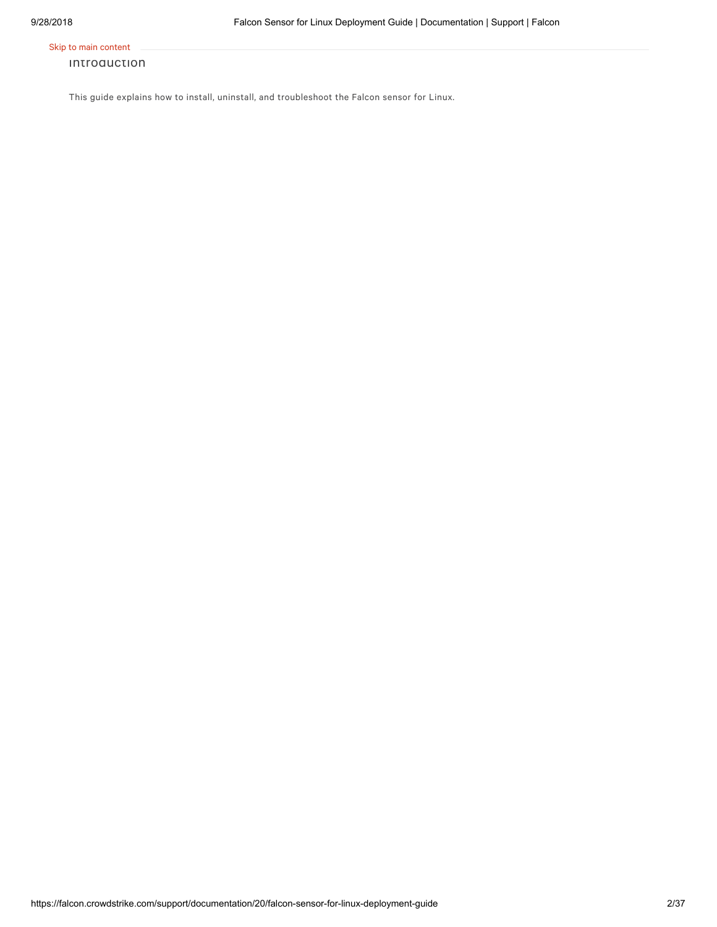#### Introduction

This guide explains how to install, uninstall, and troubleshoot the Falcon sensor for Linux.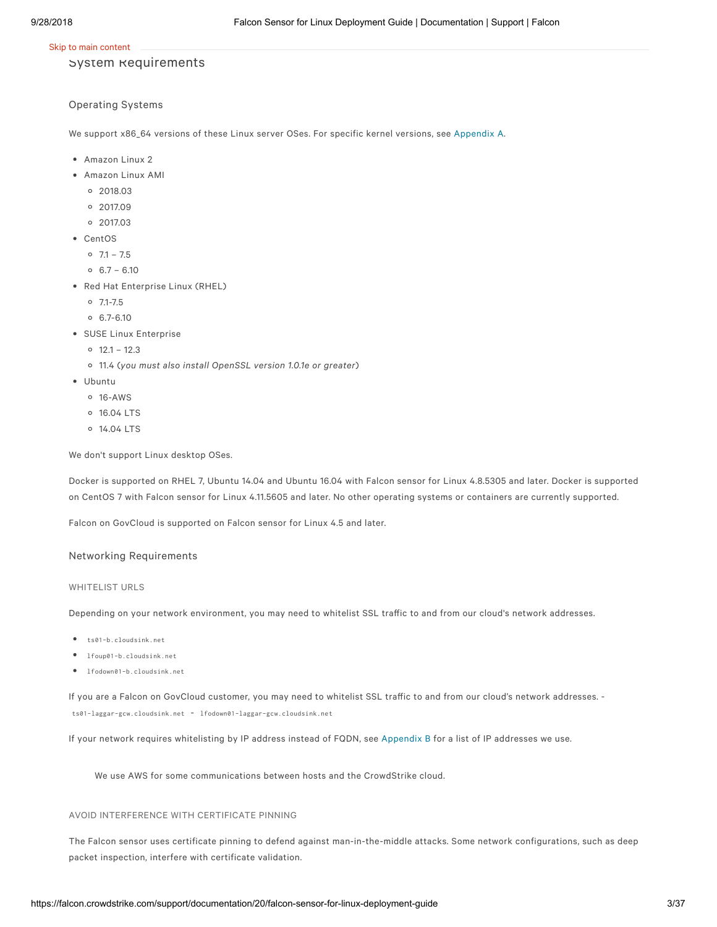#### System Requirements

#### Operating Systems

We support x86\_64 versions of these Linux server OSes. For specific kernel versions, see [Appendix](https://falcon.crowdstrike.com/support/documentation/20/falcon-host-sensor-deployment-guide-linux-kernel-based-sensor#supported) A.

- Amazon Linux 2
- Amazon Linux AMI
	- 2018.03
	- 2017.09
	- 2017.03
- CentOS
	- $0$  7.1 7.5
	- $0.6.7 6.10$
- Red Hat Enterprise Linux (RHEL)
	- $0$  7.1-7.5
	- $0.6.7 6.10$
- SUSE Linux Enterprise
	- $0$  12.1 12.3
	- 11.4 (*you must also install OpenSSL version 1.0.1e or greater*)
- Ubuntu
	- $0.16 \Delta W$
	- 16.04 LTS
	- 14.04 LTS

We don't support Linux desktop OSes.

Docker is supported on RHEL 7, Ubuntu 14.04 and Ubuntu 16.04 with Falcon sensor for Linux 4.8.5305 and later. Docker is supported on CentOS 7 with Falcon sensor for Linux 4.11.5605 and later. No other operating systems or containers are currently supported.

Falcon on GovCloud is supported on Falcon sensor for Linux 4.5 and later.

#### Networking Requirements

#### WHITELIST URLS

Depending on your network environment, you may need to whitelist SSL traffic to and from our cloud's network addresses.

- ts01-b.cloudsink.net
- lfoup01-b.cloudsink.net
- lfodown01-b.cloudsink.net

If you are a Falcon on GovCloud customer, you may need to whitelist SSL traffic to and from our cloud's network addresses. -

ts01-laggar-gcw.cloudsink.net - lfodown01-laggar-gcw.cloudsink.net

If your network requires whitelisting by IP address instead of FQDN, see [Appendix](https://falcon.crowdstrike.com/support/documentation/20/falcon-host-sensor-deployment-guide-linux-kernel-based-sensor#ipaddresses) B for a list of IP addresses we use.

We use AWS for some communications between hosts and the CrowdStrike cloud.

#### AVOID INTERFERENCE WITH CERTIFICATE PINNING

The Falcon sensor uses certificate pinning to defend against man-in-the-middle attacks. Some network configurations, such as deep packet inspection, interfere with certificate validation.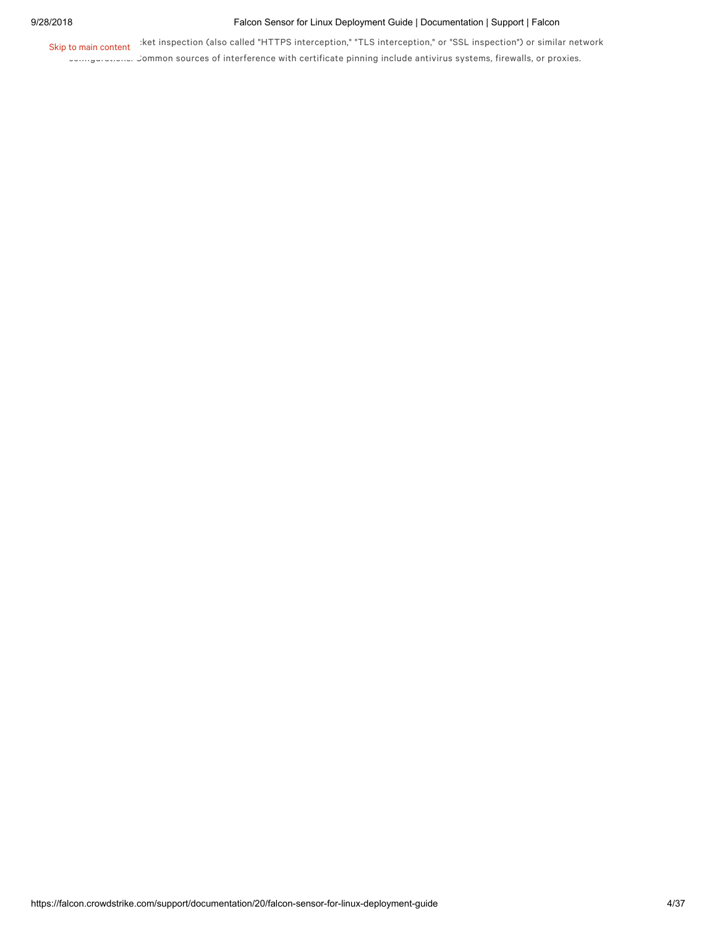#### 9/28/2018 Falcon Sensor for Linux Deployment Guide | Documentation | Support | Falcon

Skip to main content sket inspection (also called "HTTPS interception," "TLS interception," or "SSL inspection") or similar network

configurations. Common sources of interference with certificate pinning include antivirus systems, firewalls, or proxies.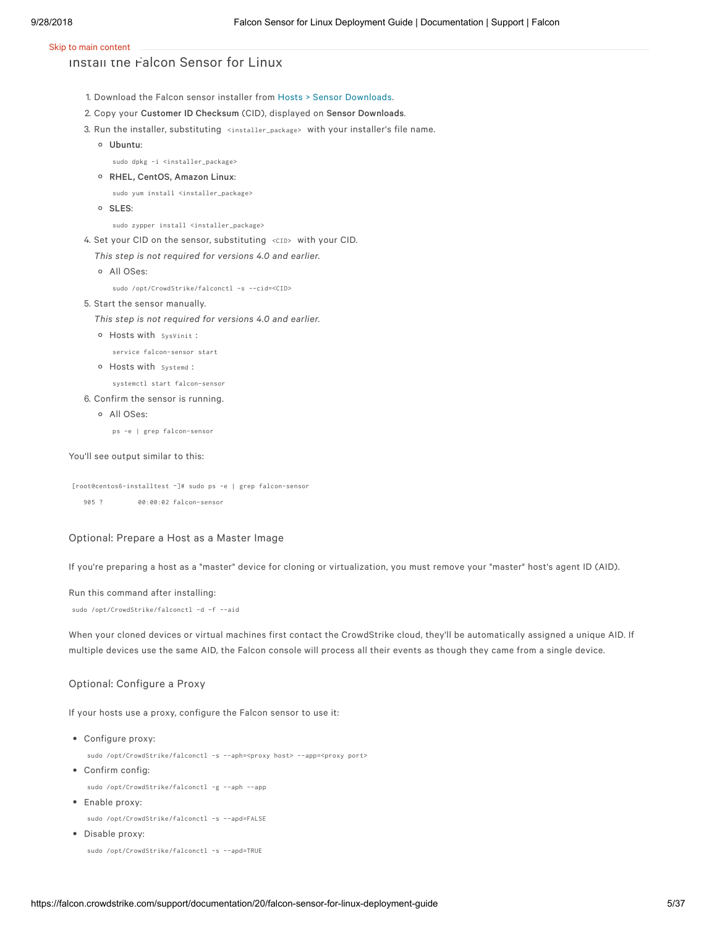### Install the Falcon Sensor for Linux

- 1. Download the Falcon sensor installer from Hosts > Sensor [Downloads.](https://falcon.crowdstrike.com/hosts/sensor-downloads)
- 2. Copy your Customer ID Checksum (CID), displayed on Sensor Downloads.
- 3. Run the installer, substituting <installer\_package> with your installer's file name.
	- Ubuntu:

sudo dpkg -i <installer\_package>

RHEL, CentOS, Amazon Linux:

sudo yum install <installer\_package>

o SLES:

sudo zypper install <installer\_package>

4. Set your CID on the sensor, substituting <CID> with your CID.

*This step is not required for versions 4.0 and earlier.*

All OSes:

sudo /opt/CrowdStrike/falconctl -s --cid=<CID>

5. Start the sensor manually.

*This step is not required for versions 4.0 and earlier.*

Hosts with SysVinit :

service falcon-sensor start

Hosts with Systemd :

systemctl start falcon-sensor

- 6. Confirm the sensor is running.
	- All OSes:

ps -e | grep falcon-sensor

#### You'll see output similar to this:

[root@centos6-installtest ~]# sudo ps -e | grep falcon-sensor

905 ? 00:00:02 falcon-sensor

#### Optional: Prepare a Host as a Master Image

If you're preparing a host as a "master" device for cloning or virtualization, you must remove your "master" host's agent ID (AID).

#### Run this command after installing:

sudo /opt/CrowdStrike/falconctl -d -f --aid

When your cloned devices or virtual machines first contact the CrowdStrike cloud, they'll be automatically assigned a unique AID. If multiple devices use the same AID, the Falcon console will process all their events as though they came from a single device.

#### Optional: Configure a Proxy

If your hosts use a proxy, configure the Falcon sensor to use it:

Configure proxy:

sudo /opt/CrowdStrike/falconctl -s --aph=<proxy host> --app=<proxy port>

Confirm config:

sudo /opt/CrowdStrike/falconctl -g --aph --app

Enable proxy:

sudo /opt/CrowdStrike/falconctl -s --apd=FALSE

Disable proxy:

```
sudo /opt/CrowdStrike/falconctl -s --apd=TRUE
```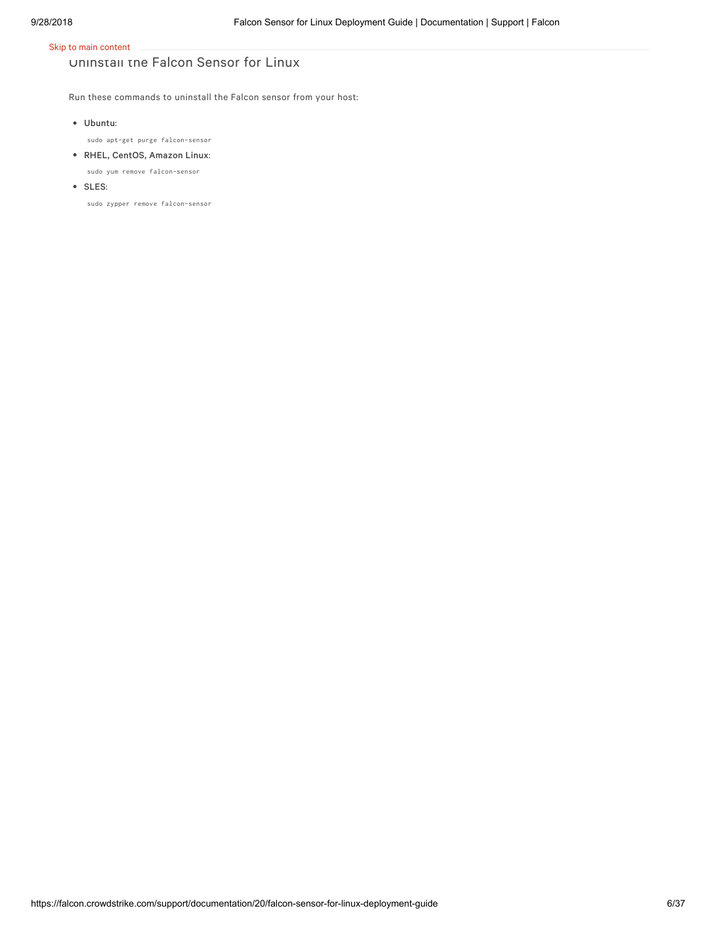# Uninstall the Falcon Sensor for Linux

Run these commands to uninstall the Falcon sensor from your host:

Ubuntu:

sudo apt-get purge falcon-sensor

- RHEL, CentOS, Amazon Linux:
- sudo yum remove falcon-sensor
- SLES:

sudo zypper remove falcon-sensor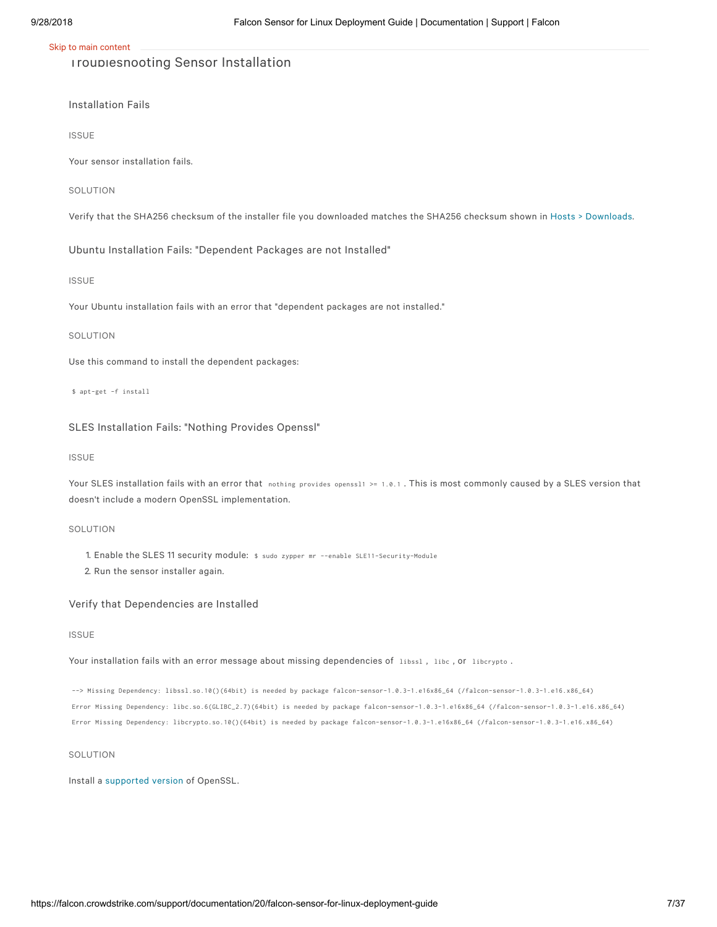### Troubleshooting Sensor Installation

Installation Fails

ISSUE

Your sensor installation fails.

SOLUTION

Verify that the SHA256 checksum of the installer file you downloaded matches the SHA256 checksum shown in Hosts > [Downloads](https://falcon.crowdstrike.com/hosts/downloads).

Ubuntu Installation Fails: "Dependent Packages are not Installed"

#### ISSUE

Your Ubuntu installation fails with an error that "dependent packages are not installed."

#### SOLUTION

Use this command to install the dependent packages:

\$ apt-get -f install

#### SLES Installation Fails: "Nothing Provides Openssl"

#### ISSUE

Your SLES installation fails with an error that nothing provides openss11 >= 1.0.1. This is most commonly caused by a SLES version that doesn't include a modern OpenSSL implementation.

#### SOLUTION

- 1. Enable the SLES 11 security module: \$ sudo zypper mr --enable SLE11-Security-Module
- 2. Run the sensor installer again.

#### Verify that Dependencies are Installed

#### ISSUE

Your installation fails with an error message about missing dependencies of libssl, libc, or libcrypto.

--> Missing Dependency: libssl.so.10()(64bit) is needed by package falcon-sensor-1.0.3-1.e16x86\_64 (/falcon-sensor-1.0.3-1.e16.x86\_64) Error Missing Dependency: libc.so.6(GLIBC\_2.7)(64bit) is needed by package falcon-sensor-1.0.3-1.e16x86\_64 (/falcon-sensor-1.0.3-1.e16.x86\_64) Error Missing Dependency: libcrypto.so.10()(64bit) is needed by package falcon-sensor-1.0.3-1.e16x86\_64 (/falcon-sensor-1.0.3-1.e16.x86\_64)

#### **SOLUTION**

Install a [supported](https://falcon.crowdstrike.com/support/documentation/20/falcon-host-sensor-deployment-guide-linux-kernel-based-sensor#requirements) version of OpenSSL.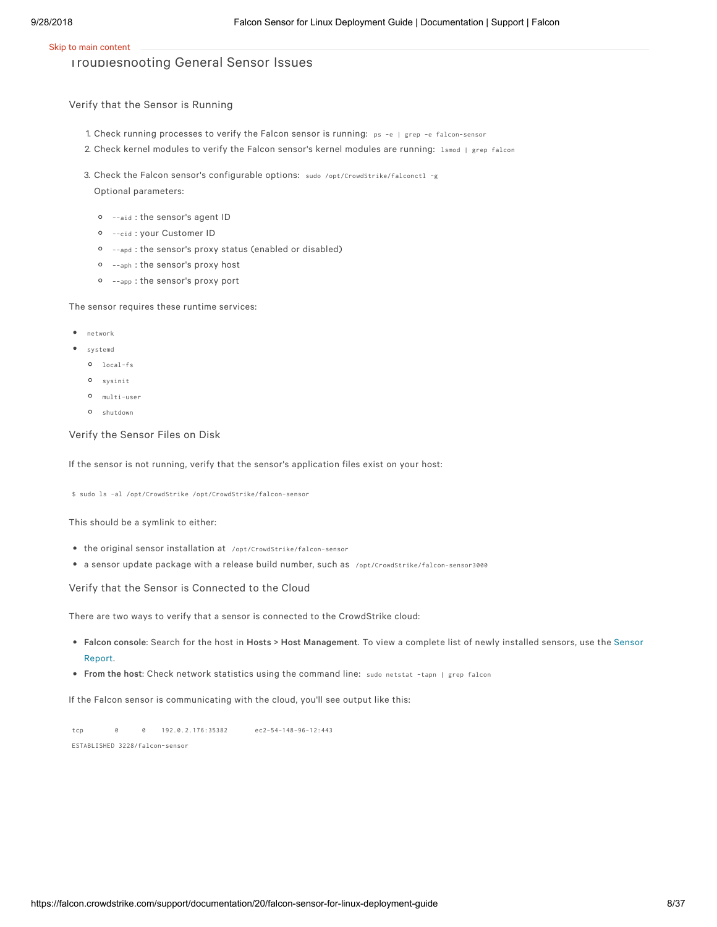### Troubleshooting General Sensor Issues

Verify that the Sensor is Running

- 1. Check running processes to verify the Falcon sensor is running: ps -e <sup>|</sup> grep -e falcon-sensor
- 2. Check kernel modules to verify the Falcon sensor's kernel modules are running: lsmod | grep falcon
- 3. Check the Falcon sensor's configurable options: sudo /opt/CrowdStrike/falconctl -g Optional parameters:
	- --aid : the sensor's agent ID
	- --cid : your Customer ID
	- --apd : the sensor's proxy status (enabled or disabled)
	- --aph : the sensor's proxy host
	- --app : the sensor's proxy port

The sensor requires these runtime services:

- network
- systemd
	- local-fs
	- sysinit
	- multi-user
	- shutdown

#### Verify the Sensor Files on Disk

If the sensor is not running, verify that the sensor's application files exist on your host:

\$ sudo ls -al /opt/CrowdStrike /opt/CrowdStrike/falcon-sensor

This should be a symlink to either:

- the original sensor installation at /opt/CrowdStrike/falcon-sensor
- a sensor update package with a release build number, such as /opt/CrowdStrike/falcon-sensor3000

Verify that the Sensor is Connected to the Cloud

There are two ways to verify that a sensor is connected to the CrowdStrike cloud:

- Falcon console: Search for the host in Hosts > Host [Management](https://falcon.crowdstrike.com/investigate/events/en-US/app/eam2/sensor_app). To view a complete list of newly installed sensors, use the Sensor Report.
- From the host: Check network statistics using the command line: sudo netstat -tapn <sup>|</sup> grep falcon

If the Falcon sensor is communicating with the cloud, you'll see output like this:

tcp 0 0 192.0.2.176:35382 ec2-54-148-96-12:443 ESTABLISHED 3228/falcon-sensor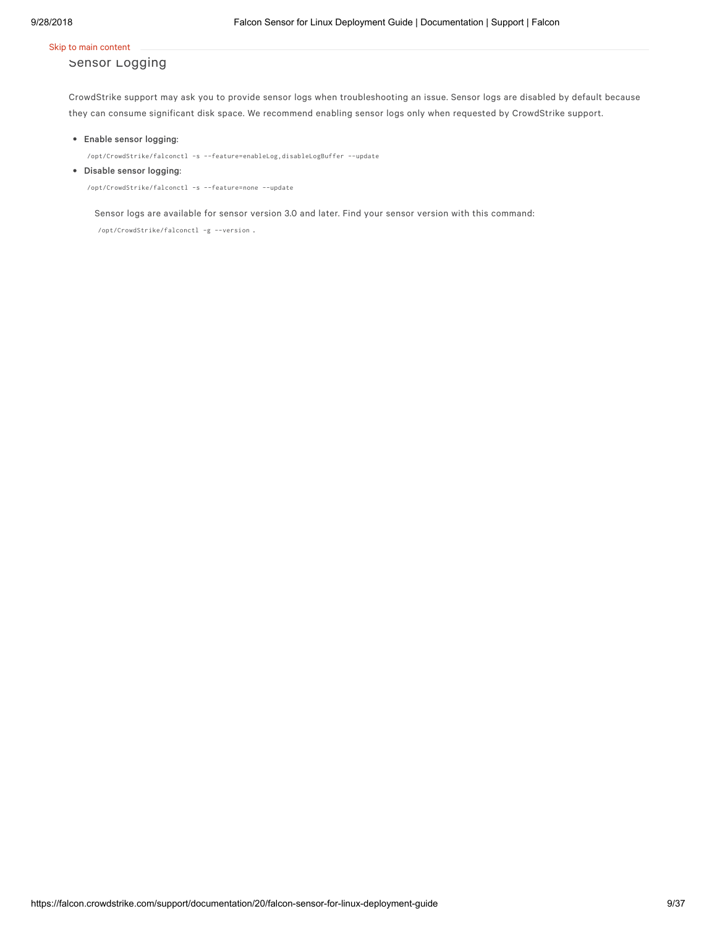### Sensor Logging

CrowdStrike support may ask you to provide sensor logs when troubleshooting an issue. Sensor logs are disabled by default because they can consume significant disk space. We recommend enabling sensor logs only when requested by CrowdStrike support.

#### Enable sensor logging:

/opt/CrowdStrike/falconctl -s --feature=enableLog,disableLogBuffer --update

#### Disable sensor logging:

/opt/CrowdStrike/falconctl -s --feature=none --update

Sensor logs are available for sensor version 3.0 and later. Find your sensor version with this command:

/opt/CrowdStrike/falconctl -g --version .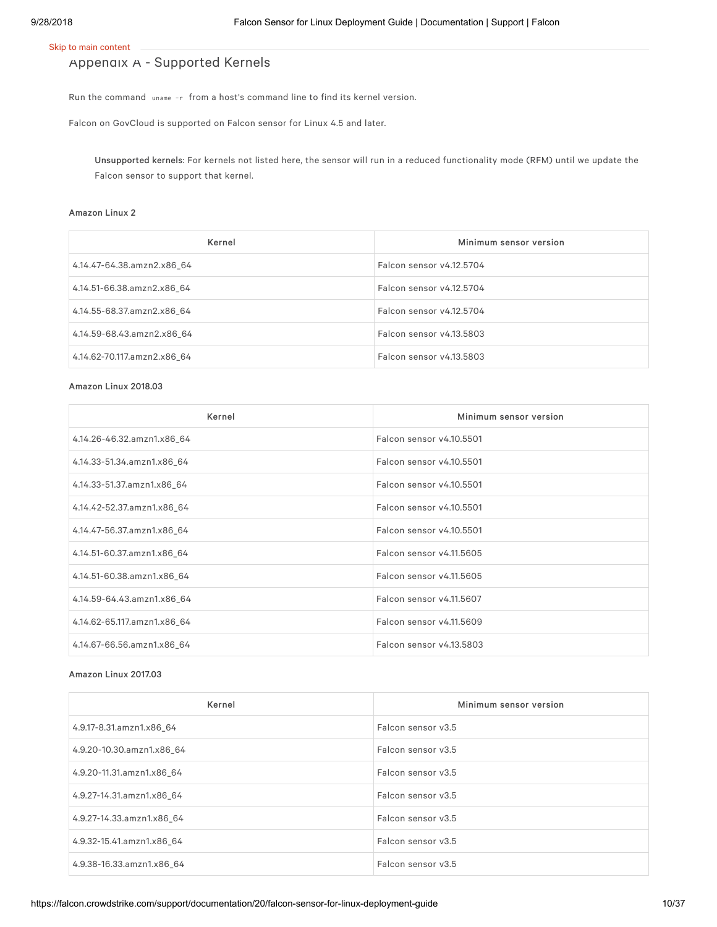## Appendix A - Supported Kernels

Run the command uname -r from a host's command line to find its kernel version.

Falcon on GovCloud is supported on Falcon sensor for Linux 4.5 and later.

Unsupported kernels: For kernels not listed here, the sensor will run in a reduced functionality mode (RFM) until we update the Falcon sensor to support that kernel.

#### Amazon Linux 2

| Kernel                      | Minimum sensor version   |
|-----------------------------|--------------------------|
| 4.14.47-64.38.amzn2.x86 64  | Falcon sensor v4.12.5704 |
| 4.14.51-66.38.amzn2.x86 64  | Falcon sensor v4.12.5704 |
| 4.14.55-68.37.amzn2.x86 64  | Falcon sensor v4.12.5704 |
| 4.14.59-68.43.amzn2.x86 64  | Falcon sensor v4.13.5803 |
| 4.14.62-70.117.amzn2.x86 64 | Falcon sensor v4.13.5803 |

#### Amazon Linux 2018.03

| Kernel                      | Minimum sensor version   |
|-----------------------------|--------------------------|
| 4.14.26-46.32.amzn1.x86_64  | Falcon sensor v4.10.5501 |
| 4.14.33-51.34.amzn1.x86_64  | Falcon sensor v4.10.5501 |
| 4.14.33-51.37.amzn1.x86 64  | Falcon sensor v4.10.5501 |
| 4.14.42-52.37.amzn1.x86_64  | Falcon sensor v4.10.5501 |
| 4.14.47-56.37.amzn1.x86_64  | Falcon sensor v4.10.5501 |
| 4.14.51-60.37.amzn1.x86_64  | Falcon sensor v4.11.5605 |
| 4.14.51-60.38.amzn1.x86_64  | Falcon sensor v4.11.5605 |
| 4.14.59-64.43.amzn1.x86 64  | Falcon sensor v4.11.5607 |
| 4.14.62-65.117.amzn1.x86_64 | Falcon sensor v4.11.5609 |
| 4.14.67-66.56.amzn1.x86_64  | Falcon sensor v4.13.5803 |

#### Amazon Linux 2017.03

| Kernel                    | Minimum sensor version |
|---------------------------|------------------------|
| 4.9.17-8.31.amzn1.x86_64  | Falcon sensor v3.5     |
| 4.9.20-10.30.amzn1.x86 64 | Falcon sensor v3.5     |
| 4.9.20-11.31.amzn1.x86 64 | Falcon sensor v3.5     |
| 4.9.27-14.31.amzn1.x86 64 | Falcon sensor v3.5     |
| 4.9.27-14.33.amzn1.x86 64 | Falcon sensor v3.5     |
| 4.9.32-15.41.amzn1.x86 64 | Falcon sensor v3.5     |
| 4.9.38-16.33.amzn1.x86 64 | Falcon sensor v3.5     |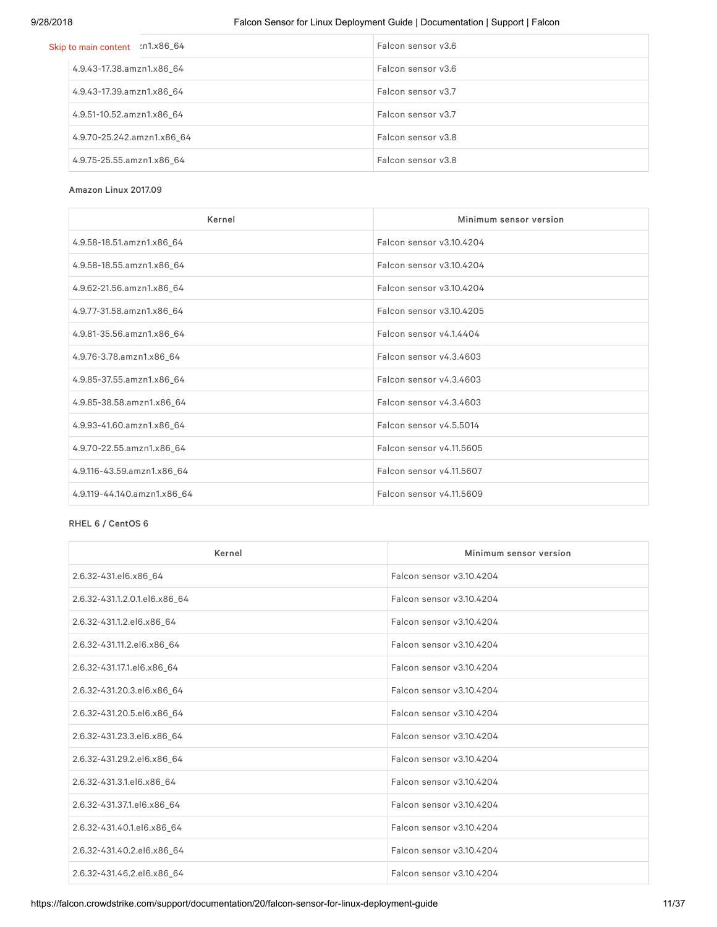### 9/28/2018 Falcon Sensor for Linux Deployment Guide | Documentation | Support | Falcon

| Skip to main content :n1.x86_64 | Falcon sensor v3.6 |
|---------------------------------|--------------------|
| 4.9.43-17.38.amzn1.x86 64       | Falcon sensor v3.6 |
| 4.9.43-17.39.amzn1.x86_64       | Falcon sensor v3.7 |
| 4.9.51-10.52.amzn1.x86_64       | Falcon sensor v3.7 |
| 4.9.70-25.242.amzn1.x86_64      | Falcon sensor v3.8 |
| 4.9.75-25.55.amzn1.x86_64       | Falcon sensor v3.8 |

#### Amazon Linux 2017.09

| Kernel                      | Minimum sensor version   |
|-----------------------------|--------------------------|
| 4.9.58-18.51.amzn1.x86_64   | Falcon sensor v3.10.4204 |
| 4.9.58-18.55.amzn1.x86_64   | Falcon sensor v3.10.4204 |
| 4.9.62-21.56.amzn1.x86_64   | Falcon sensor v3.10.4204 |
| 4.9.77-31.58.amzn1.x86_64   | Falcon sensor v3.10.4205 |
| 4.9.81-35.56.amzn1.x86_64   | Falcon sensor v4.1.4404  |
| 4.9.76-3.78.amzn1.x86_64    | Falcon sensor v4.3.4603  |
| 4.9.85-37.55.amzn1.x86_64   | Falcon sensor v4.3.4603  |
| 4.9.85-38.58.amzn1.x86_64   | Falcon sensor v4.3.4603  |
| 4.9.93-41.60.amzn1.x86_64   | Falcon sensor v4.5.5014  |
| 4.9.70-22.55.amzn1.x86_64   | Falcon sensor v4.11.5605 |
| 4.9.116-43.59.amzn1.x86_64  | Falcon sensor v4.11.5607 |
| 4.9.119-44.140.amzn1.x86_64 | Falcon sensor v4.11.5609 |

#### RHEL 6 / CentOS 6

| Kernel                        | Minimum sensor version   |
|-------------------------------|--------------------------|
| 2.6.32-431.el6.x86 64         | Falcon sensor v3.10.4204 |
| 2.6.32-431.1.2.0.1.el6.x86_64 | Falcon sensor v3.10.4204 |
| 2.6.32-431.1.2.el6.x86_64     | Falcon sensor v3.10.4204 |
| 2.6.32-431.11.2.el6.x86_64    | Falcon sensor v3.10.4204 |
| 2.6.32-431.17.1.el6.x86_64    | Falcon sensor v3.10.4204 |
| 2.6.32-431.20.3.el6.x86_64    | Falcon sensor v3.10.4204 |
| 2.6.32-431.20.5.el6.x86_64    | Falcon sensor v3.10.4204 |
| 2.6.32-431.23.3.el6.x86 64    | Falcon sensor v3.10.4204 |
| 2.6.32-431.29.2.el6.x86 64    | Falcon sensor v3.10.4204 |
| 2.6.32-431.3.1.el6.x86_64     | Falcon sensor v3.10.4204 |
| 2.6.32-431.37.1.el6.x86 64    | Falcon sensor v3.10.4204 |
| 2.6.32-431.40.1.el6.x86_64    | Falcon sensor v3.10.4204 |
| 2.6.32-431.40.2.el6.x86_64    | Falcon sensor v3.10.4204 |
| 2.6.32-431.46.2.el6.x86_64    | Falcon sensor v3.10.4204 |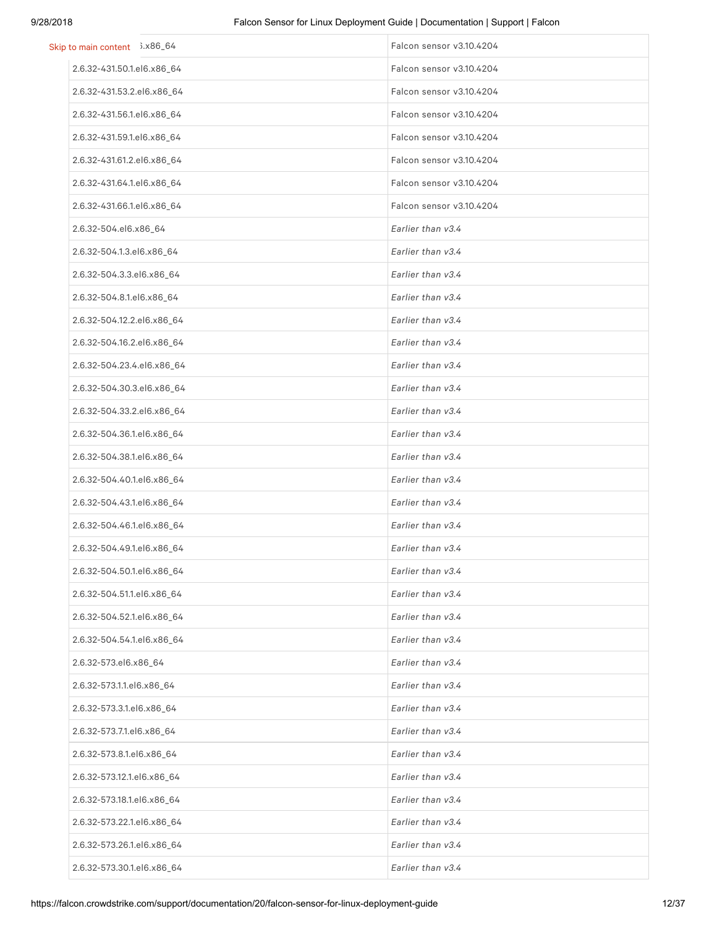| Skip to main content 3.x86_64 | Falcon sensor v3.10.4204 |
|-------------------------------|--------------------------|
| 2.6.32-431.50.1.el6.x86_64    | Falcon sensor v3.10.4204 |
| 2.6.32-431.53.2.el6.x86_64    | Falcon sensor v3.10.4204 |
| 2.6.32-431.56.1.el6.x86_64    | Falcon sensor v3.10.4204 |
| 2.6.32-431.59.1.el6.x86_64    | Falcon sensor v3.10.4204 |
| 2.6.32-431.61.2.el6.x86_64    | Falcon sensor v3.10.4204 |
| 2.6.32-431.64.1.el6.x86_64    | Falcon sensor v3.10.4204 |
| 2.6.32-431.66.1.el6.x86_64    | Falcon sensor v3.10.4204 |
| 2.6.32-504.el6.x86_64         | Earlier than v3.4        |
| 2.6.32-504.1.3.el6.x86_64     | Earlier than v3.4        |
| 2.6.32-504.3.3.el6.x86_64     | Earlier than v3.4        |
| 2.6.32-504.8.1.el6.x86_64     | Earlier than v3.4        |
| 2.6.32-504.12.2.el6.x86_64    | Earlier than v3.4        |
| 2.6.32-504.16.2.el6.x86_64    | Earlier than v3.4        |
| 2.6.32-504.23.4.el6.x86_64    | Earlier than v3.4        |
| 2.6.32-504.30.3.el6.x86_64    | Earlier than v3.4        |
| 2.6.32-504.33.2.el6.x86_64    | Earlier than v3.4        |
| 2.6.32-504.36.1.el6.x86_64    | Earlier than v3.4        |
| 2.6.32-504.38.1.el6.x86_64    | Earlier than v3.4        |
| 2.6.32-504.40.1.el6.x86_64    | Earlier than v3.4        |
| 2.6.32-504.43.1.el6.x86_64    | Earlier than v3.4        |
| 2.6.32-504.46.1.el6.x86_64    | Earlier than v3.4        |
| 2.6.32-504.49.1.el6.x86_64    | Earlier than v3.4        |
| 2.6.32-504.50.1.el6.x86_64    | Earlier than v3.4        |
| 2.6.32-504.51.1.el6.x86_64    | Earlier than v3.4        |
| 2.6.32-504.52.1.el6.x86_64    | Earlier than v3.4        |
| 2.6.32-504.54.1.el6.x86_64    | Earlier than v3.4        |
| 2.6.32-573.el6.x86_64         | Earlier than v3.4        |
| 2.6.32-573.1.1.el6.x86_64     | Earlier than v3.4        |
| 2.6.32-573.3.1.el6.x86_64     | Earlier than v3.4        |
| 2.6.32-573.7.1.el6.x86_64     | Earlier than v3.4        |
| 2.6.32-573.8.1.el6.x86_64     | Earlier than v3.4        |
| 2.6.32-573.12.1.el6.x86_64    | Earlier than v3.4        |
| 2.6.32-573.18.1.el6.x86_64    | Earlier than v3.4        |
| 2.6.32-573.22.1.el6.x86_64    | Earlier than v3.4        |
| 2.6.32-573.26.1.el6.x86_64    | Earlier than v3.4        |
| 2.6.32-573.30.1.el6.x86_64    | Earlier than v3.4        |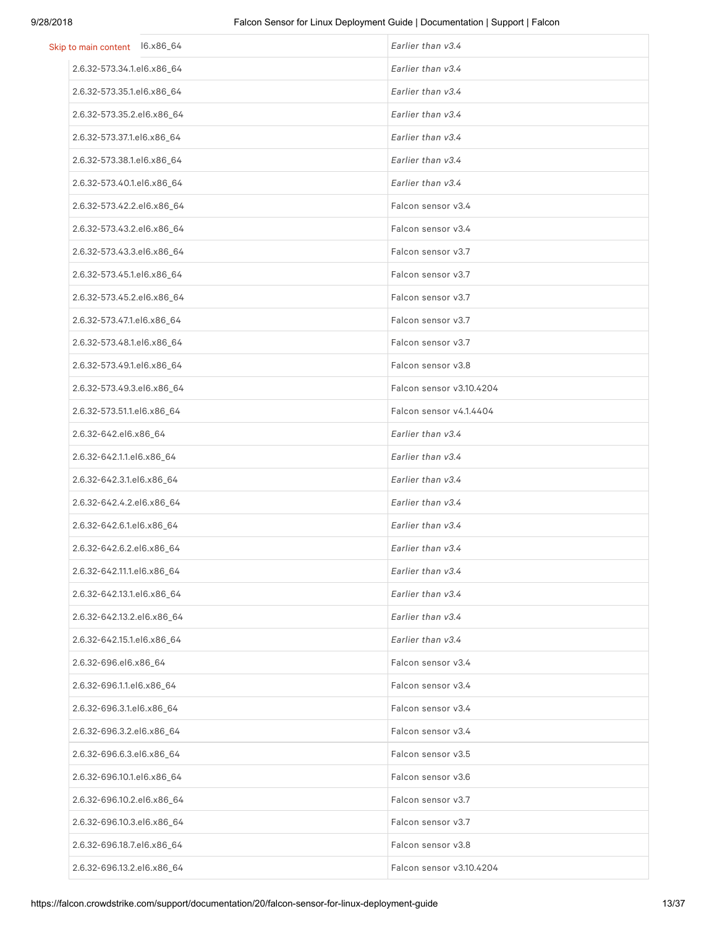| Skip to main content 16.x86_64 | Earlier than v3.4        |
|--------------------------------|--------------------------|
| 2.6.32-573.34.1.el6.x86_64     | Earlier than v3.4        |
| 2.6.32-573.35.1.el6.x86_64     | Earlier than v3.4        |
| 2.6.32-573.35.2.el6.x86 64     | Earlier than v3.4        |
| 2.6.32-573.37.1.el6.x86_64     | Earlier than v3.4        |
| 2.6.32-573.38.1.el6.x86_64     | Earlier than v3.4        |
| 2.6.32-573.40.1.el6.x86_64     | Earlier than v3.4        |
| 2.6.32-573.42.2.el6.x86_64     | Falcon sensor v3.4       |
| 2.6.32-573.43.2.el6.x86_64     | Falcon sensor v3.4       |
| 2.6.32-573.43.3.el6.x86_64     | Falcon sensor v3.7       |
| 2.6.32-573.45.1.el6.x86_64     | Falcon sensor v3.7       |
| 2.6.32-573.45.2.el6.x86_64     | Falcon sensor v3.7       |
| 2.6.32-573.47.1.el6.x86_64     | Falcon sensor v3.7       |
| 2.6.32-573.48.1.el6.x86_64     | Falcon sensor v3.7       |
| 2.6.32-573.49.1.el6.x86_64     | Falcon sensor v3.8       |
| 2.6.32-573.49.3.el6.x86_64     | Falcon sensor v3.10.4204 |
| 2.6.32-573.51.1.el6.x86_64     | Falcon sensor v4.1.4404  |
| 2.6.32-642.el6.x86_64          | Earlier than v3.4        |
| 2.6.32-642.1.1.el6.x86_64      | Earlier than v3.4        |
| 2.6.32-642.3.1.el6.x86_64      | Earlier than v3.4        |
| 2.6.32-642.4.2.el6.x86_64      | Earlier than v3.4        |
| 2.6.32-642.6.1.el6.x86_64      | Earlier than v3.4        |
| 2.6.32-642.6.2.el6.x86_64      | Earlier than v3.4        |
| 2.6.32-642.11.1.el6.x86_64     | Earlier than v3.4        |
| 2.6.32-642.13.1.el6.x86_64     | Earlier than v3.4        |
| 2.6.32-642.13.2.el6.x86_64     | Earlier than v3.4        |
| 2.6.32-642.15.1.el6.x86_64     | Earlier than v3.4        |
| 2.6.32-696.el6.x86_64          | Falcon sensor v3.4       |
| 2.6.32-696.1.1.el6.x86_64      | Falcon sensor v3.4       |
| 2.6.32-696.3.1.el6.x86_64      | Falcon sensor v3.4       |
| 2.6.32-696.3.2.el6.x86_64      | Falcon sensor v3.4       |
| 2.6.32-696.6.3.el6.x86_64      | Falcon sensor v3.5       |
| 2.6.32-696.10.1.el6.x86_64     | Falcon sensor v3.6       |
| 2.6.32-696.10.2.el6.x86_64     | Falcon sensor v3.7       |
| 2.6.32-696.10.3.el6.x86_64     | Falcon sensor v3.7       |
| 2.6.32-696.18.7.el6.x86_64     | Falcon sensor v3.8       |
| 2.6.32-696.13.2.el6.x86_64     | Falcon sensor v3.10.4204 |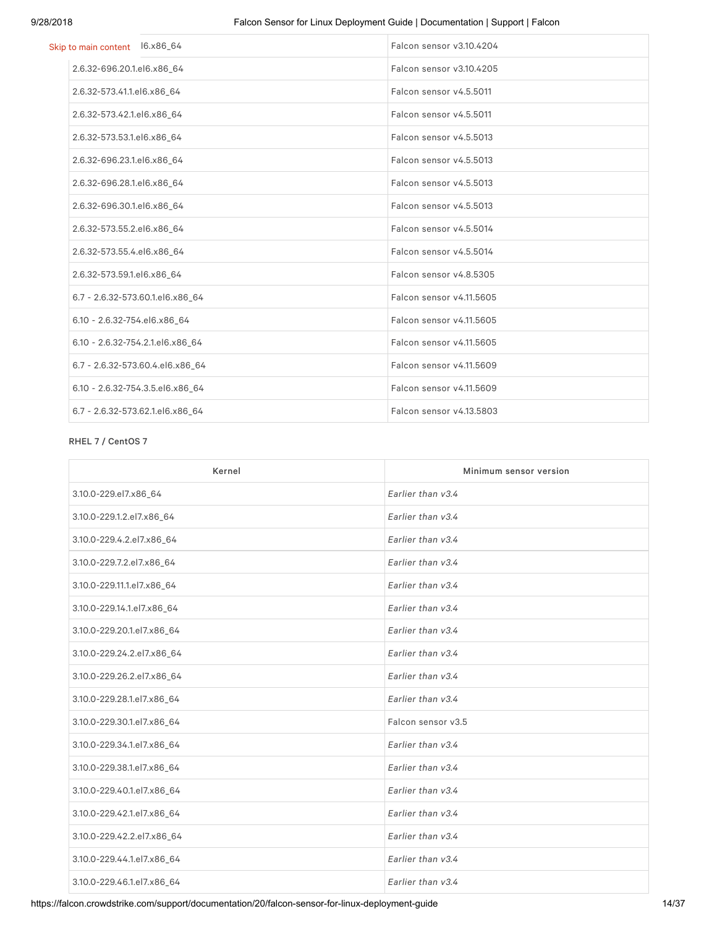| Skip to main content l6.x86_64   | Falcon sensor v3.10.4204 |
|----------------------------------|--------------------------|
| 2.6.32-696.20.1.el6.x86_64       | Falcon sensor v3.10.4205 |
| 2.6.32-573.41.1.el6.x86_64       | Falcon sensor v4.5.5011  |
| 2.6.32-573.42.1.el6.x86_64       | Falcon sensor v4.5.5011  |
| 2.6.32-573.53.1.el6.x86_64       | Falcon sensor v4.5.5013  |
| 2.6.32-696.23.1.el6.x86_64       | Falcon sensor v4.5.5013  |
| 2.6.32-696.28.1.el6.x86_64       | Falcon sensor v4.5.5013  |
| 2.6.32-696.30.1.el6.x86_64       | Falcon sensor v4.5.5013  |
| 2.6.32-573.55.2.el6.x86 64       | Falcon sensor v4.5.5014  |
| 2.6.32-573.55.4.el6.x86_64       | Falcon sensor v4.5.5014  |
| 2.6.32-573.59.1.el6.x86_64       | Falcon sensor v4.8.5305  |
| 6.7 - 2.6.32-573.60.1.el6.x86 64 | Falcon sensor v4.11.5605 |
| 6.10 - 2.6.32-754.el6.x86 64     | Falcon sensor v4.11.5605 |
| 6.10 - 2.6.32-754.2.1.el6.x86 64 | Falcon sensor v4.11.5605 |
| 6.7 - 2.6.32-573.60.4.el6.x86_64 | Falcon sensor v4.11.5609 |
| 6.10 - 2.6.32-754.3.5.el6.x86 64 | Falcon sensor v4.11.5609 |
| 6.7 - 2.6.32-573.62.1.el6.x86 64 | Falcon sensor v4.13.5803 |

#### RHEL 7 / CentOS 7

| Kernel                     | Minimum sensor version |
|----------------------------|------------------------|
| 3.10.0-229.el7.x86_64      | Earlier than v3.4      |
| 3.10.0-229.1.2.el7.x86_64  | Earlier than v3.4      |
| 3.10.0-229.4.2.el7.x86_64  | Earlier than v3.4      |
| 3.10.0-229.7.2.el7.x86_64  | Earlier than v3.4      |
| 3.10.0-229.11.1.el7.x86_64 | Earlier than v3.4      |
| 3.10.0-229.14.1.el7.x86_64 | Earlier than v3.4      |
| 3.10.0-229.20.1.el7.x86_64 | Earlier than v3.4      |
| 3.10.0-229.24.2.el7.x86_64 | Earlier than v3.4      |
| 3.10.0-229.26.2.el7.x86_64 | Earlier than v3.4      |
| 3.10.0-229.28.1.el7.x86_64 | Earlier than v3.4      |
| 3.10.0-229.30.1.el7.x86_64 | Falcon sensor v3.5     |
| 3.10.0-229.34.1.el7.x86_64 | Earlier than v3.4      |
| 3.10.0-229.38.1.el7.x86_64 | Earlier than v3.4      |
| 3.10.0-229.40.1.el7.x86_64 | Earlier than v3.4      |
| 3.10.0-229.42.1.el7.x86_64 | Earlier than v3.4      |
| 3.10.0-229.42.2.el7.x86_64 | Earlier than v3.4      |
| 3.10.0-229.44.1.el7.x86_64 | Earlier than v3.4      |
| 3.10.0-229.46.1.el7.x86_64 | Earlier than v3.4      |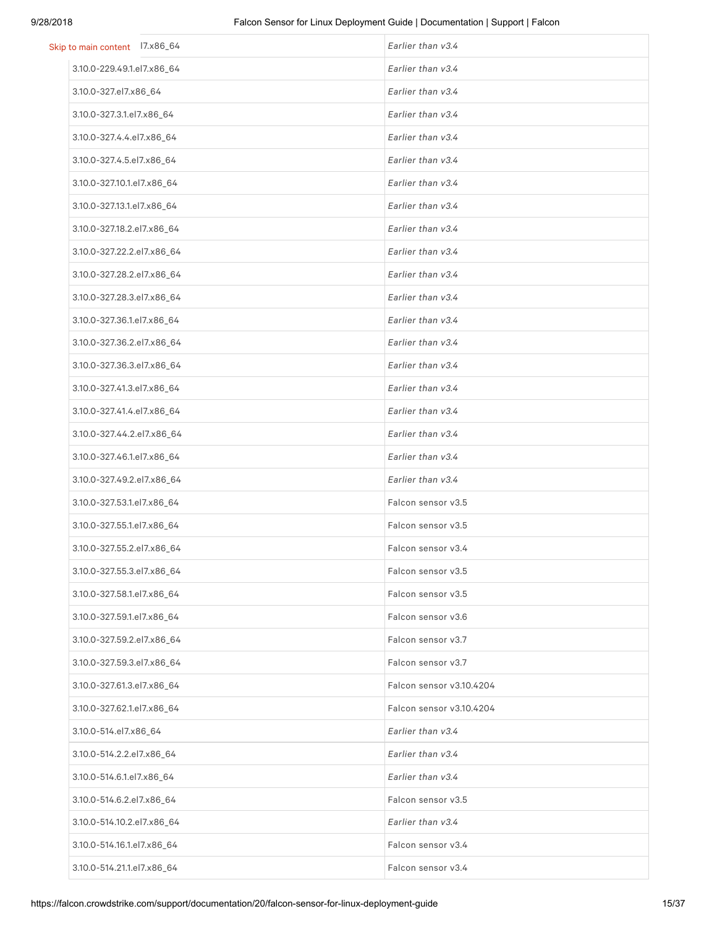| Skip to main content 17.x86_64 | Earlier than v3.4        |
|--------------------------------|--------------------------|
| 3.10.0-229.49.1.el7.x86_64     | Earlier than v3.4        |
| 3.10.0-327.el7.x86_64          | Earlier than v3.4        |
| 3.10.0-327.3.1.el7.x86_64      | Earlier than v3.4        |
| 3.10.0-327.4.4.el7.x86_64      | Earlier than v3.4        |
| 3.10.0-327.4.5.el7.x86_64      | Earlier than v3.4        |
| 3.10.0-327.10.1.el7.x86_64     | Earlier than v3.4        |
| 3.10.0-327.13.1.el7.x86_64     | Earlier than v3.4        |
| 3.10.0-327.18.2.el7.x86_64     | Earlier than v3.4        |
| 3.10.0-327.22.2.el7.x86_64     | Earlier than v3.4        |
| 3.10.0-327.28.2.el7.x86_64     | Earlier than v3.4        |
| 3.10.0-327.28.3.el7.x86_64     | Earlier than v3.4        |
| 3.10.0-327.36.1.el7.x86_64     | Earlier than v3.4        |
| 3.10.0-327.36.2.el7.x86_64     | Earlier than v3.4        |
| 3.10.0-327.36.3.el7.x86_64     | Earlier than v3.4        |
| 3.10.0-327.41.3.el7.x86_64     | Earlier than v3.4        |
| 3.10.0-327.41.4.el7.x86_64     | Earlier than v3.4        |
| 3.10.0-327.44.2.el7.x86_64     | Earlier than v3.4        |
| 3.10.0-327.46.1.el7.x86_64     | Earlier than v3.4        |
| 3.10.0-327.49.2.el7.x86_64     | Earlier than v3.4        |
| 3.10.0-327.53.1.el7.x86_64     | Falcon sensor v3.5       |
| 3.10.0-327.55.1.el7.x86_64     | Falcon sensor v3.5       |
| 3.10.0-327.55.2.el7.x86_64     | Falcon sensor v3.4       |
| 3.10.0-327.55.3.el7.x86_64     | Falcon sensor v3.5       |
| 3.10.0-327.58.1.el7.x86_64     | Falcon sensor v3.5       |
| 3.10.0-327.59.1.el7.x86 64     | Falcon sensor v3.6       |
| 3.10.0-327.59.2.el7.x86_64     | Falcon sensor v3.7       |
| 3.10.0-327.59.3.el7.x86_64     | Falcon sensor v3.7       |
| 3.10.0-327.61.3.el7.x86_64     | Falcon sensor v3.10.4204 |
| 3.10.0-327.62.1.el7.x86_64     | Falcon sensor v3.10.4204 |
| 3.10.0-514.el7.x86_64          | Earlier than v3.4        |
| 3.10.0-514.2.2.el7.x86_64      | Earlier than v3.4        |
| 3.10.0-514.6.1.el7.x86_64      | Earlier than v3.4        |
| 3.10.0-514.6.2.el7.x86_64      | Falcon sensor v3.5       |
| 3.10.0-514.10.2.el7.x86_64     | Earlier than v3.4        |
| 3.10.0-514.16.1.el7.x86_64     | Falcon sensor v3.4       |
| 3.10.0-514.21.1.el7.x86_64     | Falcon sensor v3.4       |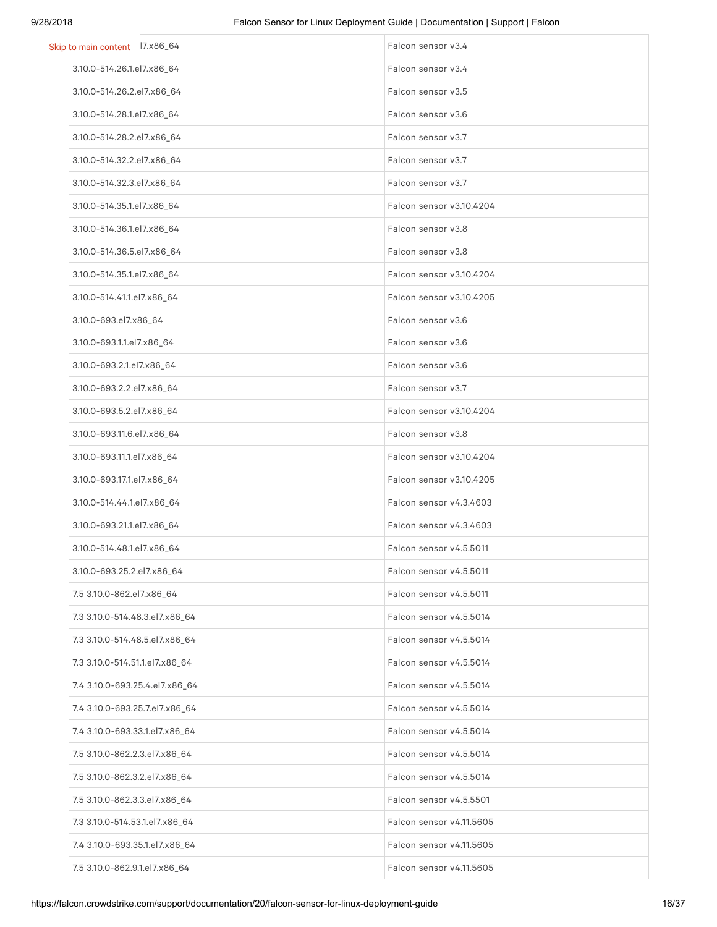| Skip to main content 17.x86_64 | Falcon sensor v3.4       |
|--------------------------------|--------------------------|
| 3.10.0-514.26.1.el7.x86_64     | Falcon sensor v3.4       |
| 3.10.0-514.26.2.el7.x86_64     | Falcon sensor v3.5       |
| 3.10.0-514.28.1.el7.x86_64     | Falcon sensor v3.6       |
| 3.10.0-514.28.2.el7.x86_64     | Falcon sensor v3.7       |
| 3.10.0-514.32.2.el7.x86_64     | Falcon sensor v3.7       |
| 3.10.0-514.32.3.el7.x86_64     | Falcon sensor v3.7       |
| 3.10.0-514.35.1.el7.x86_64     | Falcon sensor v3.10.4204 |
| 3.10.0-514.36.1.el7.x86_64     | Falcon sensor v3.8       |
| 3.10.0-514.36.5.el7.x86_64     | Falcon sensor v3.8       |
| 3.10.0-514.35.1.el7.x86_64     | Falcon sensor v3.10.4204 |
| 3.10.0-514.41.1.el7.x86_64     | Falcon sensor v3.10.4205 |
| 3.10.0-693.el7.x86_64          | Falcon sensor v3.6       |
| 3.10.0-693.1.1.el7.x86_64      | Falcon sensor v3.6       |
| 3.10.0-693.2.1.el7.x86_64      | Falcon sensor v3.6       |
| 3.10.0-693.2.2.el7.x86_64      | Falcon sensor v3.7       |
| 3.10.0-693.5.2.el7.x86_64      | Falcon sensor v3.10.4204 |
| 3.10.0-693.11.6.el7.x86_64     | Falcon sensor v3.8       |
| 3.10.0-693.11.1.el7.x86_64     | Falcon sensor v3.10.4204 |
| 3.10.0-693.17.1.el7.x86_64     | Falcon sensor v3.10.4205 |
| 3.10.0-514.44.1.el7.x86_64     | Falcon sensor v4.3.4603  |
| 3.10.0-693.21.1.el7.x86_64     | Falcon sensor v4.3.4603  |
| 3.10.0-514.48.1.el7.x86_64     | Falcon sensor v4.5.5011  |
| 3.10.0-693.25.2.el7.x86_64     | Falcon sensor v4.5.5011  |
| 7.5 3.10.0-862.el7.x86_64      | Falcon sensor v4.5.5011  |
| 7.3 3.10.0-514.48.3.el7.x86_64 | Falcon sensor v4.5.5014  |
| 7.3 3.10.0-514.48.5.el7.x86_64 | Falcon sensor v4.5.5014  |
| 7.3 3.10.0-514.51.1.el7.x86_64 | Falcon sensor v4.5.5014  |
| 7.4 3.10.0-693.25.4.el7.x86_64 | Falcon sensor v4.5.5014  |
| 7.4 3.10.0-693.25.7.el7.x86_64 | Falcon sensor v4.5.5014  |
| 7.4 3.10.0-693.33.1.el7.x86_64 | Falcon sensor v4.5.5014  |
| 7.5 3.10.0-862.2.3.el7.x86_64  | Falcon sensor v4.5.5014  |
| 7.5 3.10.0-862.3.2.el7.x86_64  | Falcon sensor v4.5.5014  |
| 7.5 3.10.0-862.3.3.el7.x86_64  | Falcon sensor v4.5.5501  |
| 7.3 3.10.0-514.53.1.el7.x86_64 | Falcon sensor v4.11.5605 |
| 7.4 3.10.0-693.35.1.el7.x86_64 | Falcon sensor v4.11.5605 |
| 7.5 3.10.0-862.9.1.el7.x86_64  | Falcon sensor v4.11.5605 |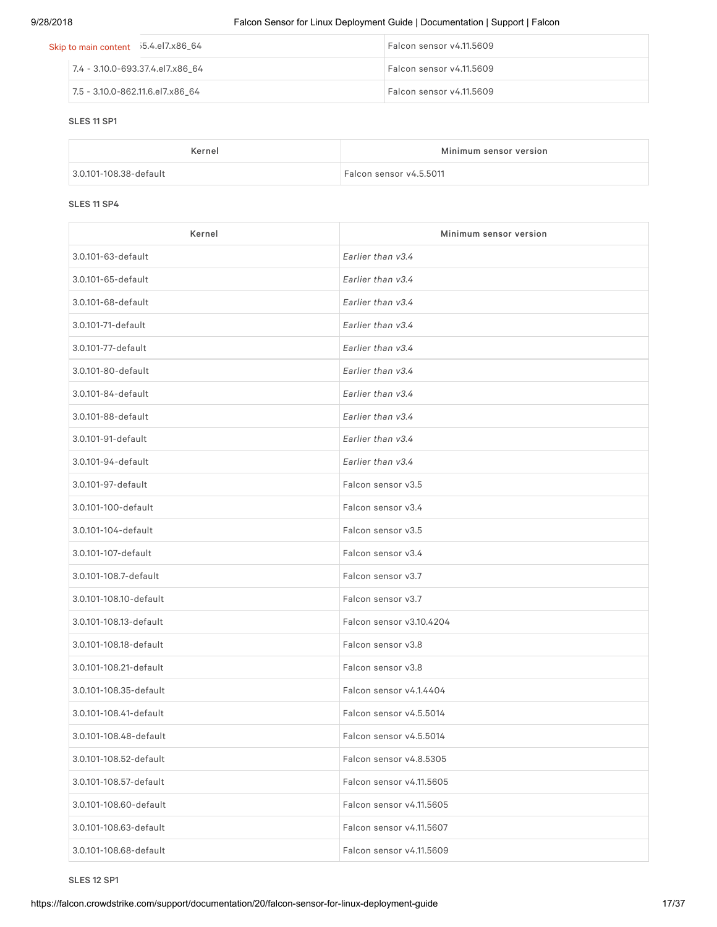| Skip to main content  i5.4.el7.x86_64 |                                  |                                  | Falcon sensor v4.11.5609 |
|---------------------------------------|----------------------------------|----------------------------------|--------------------------|
|                                       |                                  | 7.4 - 3.10.0-693.37.4.el7.x86 64 | Falcon sensor v4.11.5609 |
|                                       | 7.5 - 3.10.0-862.11.6.el7.x86 64 |                                  | Falcon sensor v4.11.5609 |

#### SLES 11 SP1

| Kernel                 | Minimum sensor version  |
|------------------------|-------------------------|
| 3.0.101-108.38-default | Falcon sensor v4.5.5011 |

#### SLES 11 SP4

| Kernel                 | Minimum sensor version   |
|------------------------|--------------------------|
| 3.0.101-63-default     | Earlier than v3.4        |
| 3.0.101-65-default     | Earlier than v3.4        |
| 3.0.101-68-default     | Earlier than v3.4        |
| 3.0.101-71-default     | Earlier than v3.4        |
| 3.0.101-77-default     | Earlier than v3.4        |
| 3.0.101-80-default     | Earlier than v3.4        |
| 3.0.101-84-default     | Earlier than v3.4        |
| 3.0.101-88-default     | Earlier than v3.4        |
| 3.0.101-91-default     | Earlier than v3.4        |
| 3.0.101-94-default     | Earlier than v3.4        |
| 3.0.101-97-default     | Falcon sensor v3.5       |
| 3.0.101-100-default    | Falcon sensor v3.4       |
| 3.0.101-104-default    | Falcon sensor v3.5       |
| 3.0.101-107-default    | Falcon sensor v3.4       |
| 3.0.101-108.7-default  | Falcon sensor v3.7       |
| 3.0.101-108.10-default | Falcon sensor v3.7       |
| 3.0.101-108.13-default | Falcon sensor v3.10.4204 |
| 3.0.101-108.18-default | Falcon sensor v3.8       |
| 3.0.101-108.21-default | Falcon sensor v3.8       |
| 3.0.101-108.35-default | Falcon sensor v4.1.4404  |
| 3.0.101-108.41-default | Falcon sensor v4.5.5014  |
| 3.0.101-108.48-default | Falcon sensor v4.5.5014  |
| 3.0.101-108.52-default | Falcon sensor v4.8.5305  |
| 3.0.101-108.57-default | Falcon sensor v4.11.5605 |
| 3.0.101-108.60-default | Falcon sensor v4.11.5605 |
| 3.0.101-108.63-default | Falcon sensor v4.11.5607 |
| 3.0.101-108.68-default | Falcon sensor v4.11.5609 |

SLES 12 SP1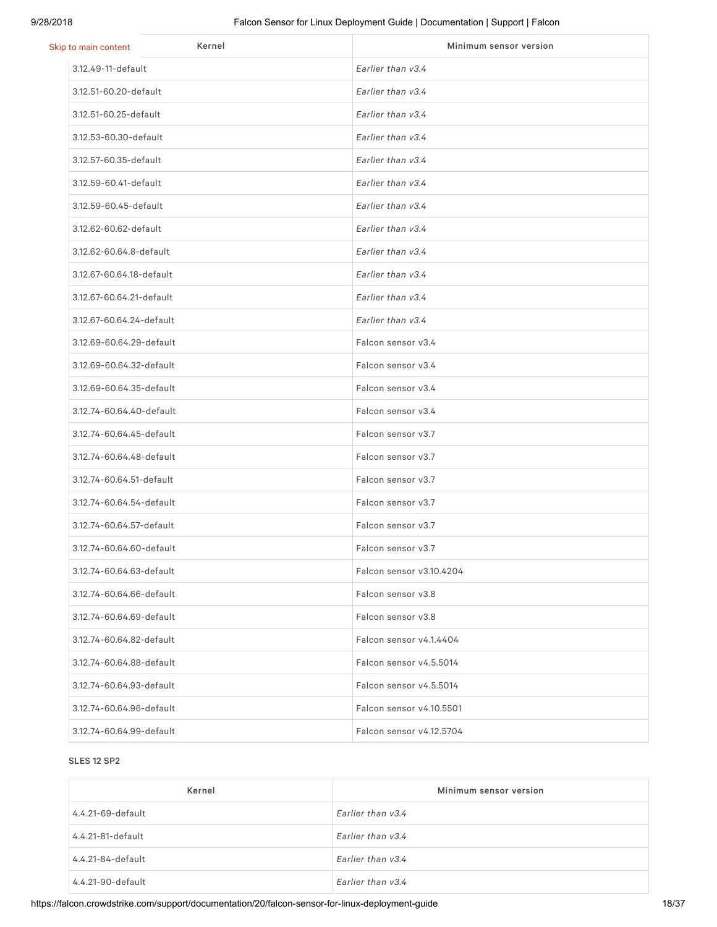| Kernel<br>Skip to main content | Minimum sensor version   |
|--------------------------------|--------------------------|
| 3.12.49-11-default             | Earlier than v3.4        |
| 3.12.51-60.20-default          | Earlier than v3.4        |
| 3.12.51-60.25-default          | Earlier than v3.4        |
| 3.12.53-60.30-default          | Earlier than v3.4        |
| 3.12.57-60.35-default          | Earlier than v3.4        |
| 3.12.59-60.41-default          | Earlier than v3.4        |
| 3.12.59-60.45-default          | Earlier than v3.4        |
| 3.12.62-60.62-default          | Earlier than v3.4        |
| 3.12.62-60.64.8-default        | Earlier than v3.4        |
| 3.12.67-60.64.18-default       | Earlier than v3.4        |
| 3.12.67-60.64.21-default       | Earlier than v3.4        |
| 3.12.67-60.64.24-default       | Earlier than v3.4        |
| 3.12.69-60.64.29-default       | Falcon sensor v3.4       |
| 3.12.69-60.64.32-default       | Falcon sensor v3.4       |
| 3.12.69-60.64.35-default       | Falcon sensor v3.4       |
| 3.12.74-60.64.40-default       | Falcon sensor v3.4       |
| 3.12.74-60.64.45-default       | Falcon sensor v3.7       |
| 3.12.74-60.64.48-default       | Falcon sensor v3.7       |
| 3.12.74-60.64.51-default       | Falcon sensor v3.7       |
| 3.12.74-60.64.54-default       | Falcon sensor v3.7       |
| 3.12.74-60.64.57-default       | Falcon sensor v3.7       |
| 3.12.74-60.64.60-default       | Falcon sensor v3.7       |
| 3.12.74-60.64.63-default       | Falcon sensor v3.10.4204 |
| 3.12.74-60.64.66-default       | Falcon sensor v3.8       |
| 3.12.74-60.64.69-default       | Falcon sensor v3.8       |
| 3.12.74-60.64.82-default       | Falcon sensor v4.1.4404  |
| 3.12.74-60.64.88-default       | Falcon sensor v4.5.5014  |
| 3.12.74-60.64.93-default       | Falcon sensor v4.5.5014  |
| 3.12.74-60.64.96-default       | Falcon sensor v4.10.5501 |
| 3.12.74-60.64.99-default       | Falcon sensor v4.12.5704 |

#### SLES 12 SP2

| Kernel            | Minimum sensor version |
|-------------------|------------------------|
| 4.4.21-69-default | Earlier than $v3.4$    |
| 4.4.21-81-default | Earlier than $v3.4$    |
| 4.4.21-84-default | Earlier than $v3.4$    |
| 4.4.21-90-default | Earlier than v3.4      |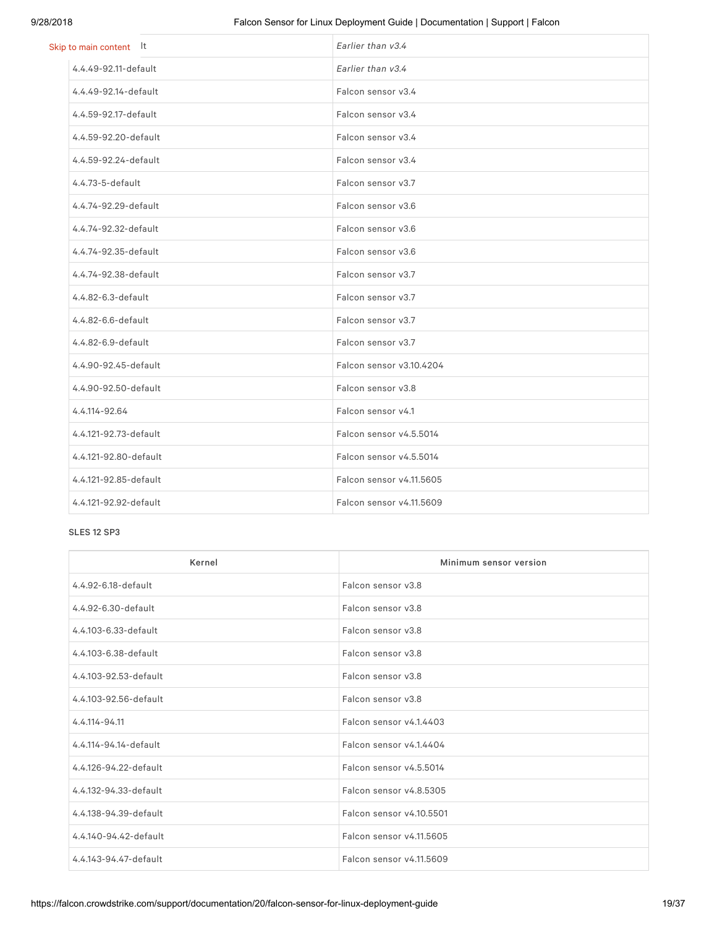| Skip to main content lt | Earlier than v3.4        |
|-------------------------|--------------------------|
| 4.4.49-92.11-default    | Earlier than v3.4        |
| 4.4.49-92.14-default    | Falcon sensor v3.4       |
| 4.4.59-92.17-default    | Falcon sensor v3.4       |
| 4.4.59-92.20-default    | Falcon sensor v3.4       |
| 4.4.59-92.24-default    | Falcon sensor v3.4       |
| 4.4.73-5-default        | Falcon sensor v3.7       |
| 4.4.74-92.29-default    | Falcon sensor v3.6       |
| 4.4.74-92.32-default    | Falcon sensor v3.6       |
| 4.4.74-92.35-default    | Falcon sensor v3.6       |
| 4.4.74-92.38-default    | Falcon sensor v3.7       |
| 4.4.82-6.3-default      | Falcon sensor v3.7       |
| 4.4.82-6.6-default      | Falcon sensor v3.7       |
| 4.4.82-6.9-default      | Falcon sensor v3.7       |
| 4.4.90-92.45-default    | Falcon sensor v3.10.4204 |
| 4.4.90-92.50-default    | Falcon sensor v3.8       |
| 4.4.114-92.64           | Falcon sensor v4.1       |
| 4.4.121-92.73-default   | Falcon sensor v4.5.5014  |
| 4.4.121-92.80-default   | Falcon sensor v4.5.5014  |
| 4.4.121-92.85-default   | Falcon sensor v4.11.5605 |
| 4.4.121-92.92-default   | Falcon sensor v4.11.5609 |

### SLES 12 SP3

| Kernel                | Minimum sensor version   |
|-----------------------|--------------------------|
| 4.4.92-6.18-default   | Falcon sensor v3.8       |
| 4.4.92-6.30-default   | Falcon sensor v3.8       |
| 4.4.103-6.33-default  | Falcon sensor v3.8       |
| 4.4.103-6.38-default  | Falcon sensor v3.8       |
| 4.4.103-92.53-default | Falcon sensor v3.8       |
| 4.4.103-92.56-default | Falcon sensor v3.8       |
| 4.4.114-94.11         | Falcon sensor v4.1.4403  |
| 4.4.114-94.14-default | Falcon sensor v4.1.4404  |
| 4.4.126-94.22-default | Falcon sensor v4.5.5014  |
| 4.4.132-94.33-default | Falcon sensor v4.8.5305  |
| 4.4.138-94.39-default | Falcon sensor v4.10.5501 |
| 4.4.140-94.42-default | Falcon sensor v4.11.5605 |
| 4.4.143-94.47-default | Falcon sensor v4.11.5609 |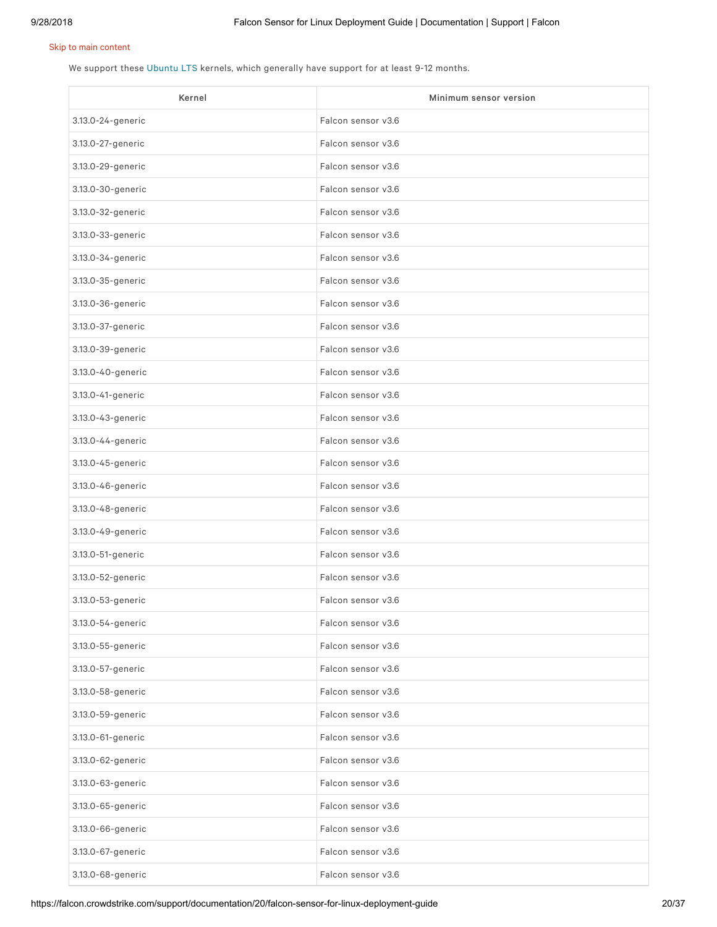We support these [Ubuntu](https://wiki.ubuntu.com/LTS) LTS kernels, which generally have support for at least 9-12 months.

| Kernel            | Minimum sensor version |
|-------------------|------------------------|
| 3.13.0-24-generic | Falcon sensor v3.6     |
| 3.13.0-27-generic | Falcon sensor v3.6     |
| 3.13.0-29-generic | Falcon sensor v3.6     |
| 3.13.0-30-generic | Falcon sensor v3.6     |
| 3.13.0-32-generic | Falcon sensor v3.6     |
| 3.13.0-33-generic | Falcon sensor v3.6     |
| 3.13.0-34-generic | Falcon sensor v3.6     |
| 3.13.0-35-generic | Falcon sensor v3.6     |
| 3.13.0-36-generic | Falcon sensor v3.6     |
| 3.13.0-37-generic | Falcon sensor v3.6     |
| 3.13.0-39-generic | Falcon sensor v3.6     |
| 3.13.0-40-generic | Falcon sensor v3.6     |
| 3.13.0-41-generic | Falcon sensor v3.6     |
| 3.13.0-43-generic | Falcon sensor v3.6     |
| 3.13.0-44-generic | Falcon sensor v3.6     |
| 3.13.0-45-generic | Falcon sensor v3.6     |
| 3.13.0-46-generic | Falcon sensor v3.6     |
| 3.13.0-48-generic | Falcon sensor v3.6     |
| 3.13.0-49-generic | Falcon sensor v3.6     |
| 3.13.0-51-generic | Falcon sensor v3.6     |
| 3.13.0-52-generic | Falcon sensor v3.6     |
| 3.13.0-53-generic | Falcon sensor v3.6     |
| 3.13.0-54-generic | Falcon sensor v3.6     |
| 3.13.0-55-generic | Falcon sensor v3.6     |
| 3.13.0-57-generic | Falcon sensor v3.6     |
| 3.13.0-58-generic | Falcon sensor v3.6     |
| 3.13.0-59-generic | Falcon sensor v3.6     |
| 3.13.0-61-generic | Falcon sensor v3.6     |
| 3.13.0-62-generic | Falcon sensor v3.6     |
| 3.13.0-63-generic | Falcon sensor v3.6     |
| 3.13.0-65-generic | Falcon sensor v3.6     |
| 3.13.0-66-generic | Falcon sensor v3.6     |
| 3.13.0-67-generic | Falcon sensor v3.6     |
| 3.13.0-68-generic | Falcon sensor v3.6     |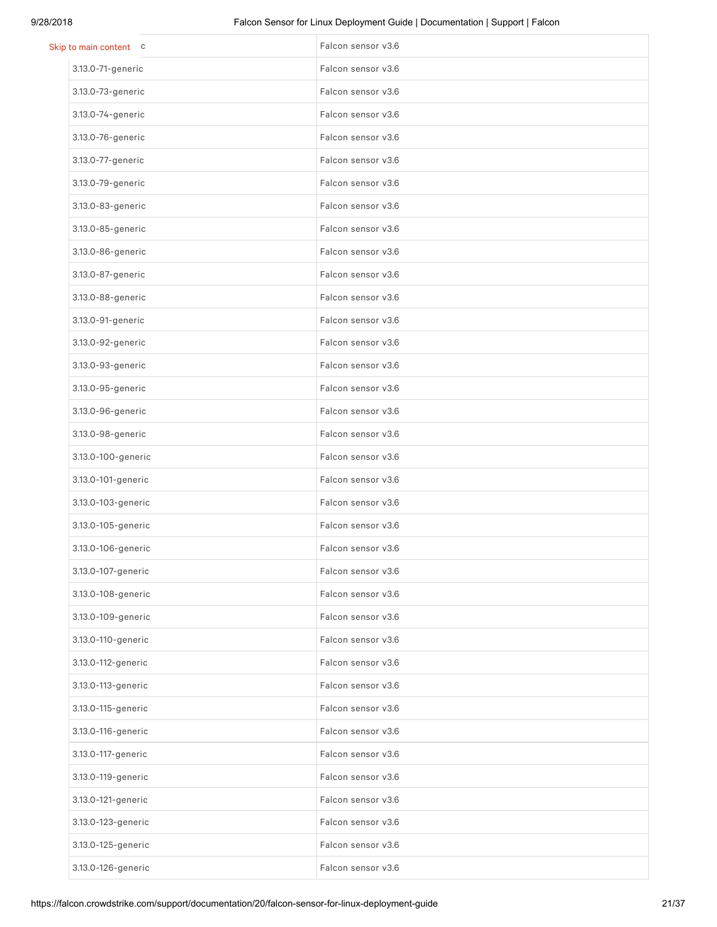| Skip to main content c | Falcon sensor v3.6 |
|------------------------|--------------------|
| 3.13.0-71-generic      | Falcon sensor v3.6 |
| 3.13.0-73-generic      | Falcon sensor v3.6 |
| 3.13.0-74-generic      | Falcon sensor v3.6 |
| 3.13.0-76-generic      | Falcon sensor v3.6 |
| 3.13.0-77-generic      | Falcon sensor v3.6 |
| 3.13.0-79-generic      | Falcon sensor v3.6 |
| 3.13.0-83-generic      | Falcon sensor v3.6 |
| 3.13.0-85-generic      | Falcon sensor v3.6 |
| 3.13.0-86-generic      | Falcon sensor v3.6 |
| 3.13.0-87-generic      | Falcon sensor v3.6 |
| 3.13.0-88-generic      | Falcon sensor v3.6 |
| 3.13.0-91-generic      | Falcon sensor v3.6 |
| 3.13.0-92-generic      | Falcon sensor v3.6 |
| 3.13.0-93-generic      | Falcon sensor v3.6 |
| 3.13.0-95-generic      | Falcon sensor v3.6 |
| 3.13.0-96-generic      | Falcon sensor v3.6 |
| 3.13.0-98-generic      | Falcon sensor v3.6 |
| 3.13.0-100-generic     | Falcon sensor v3.6 |
| 3.13.0-101-generic     | Falcon sensor v3.6 |
| 3.13.0-103-generic     | Falcon sensor v3.6 |
| 3.13.0-105-generic     | Falcon sensor v3.6 |
| 3.13.0-106-generic     | Falcon sensor v3.6 |
| 3.13.0-107-generic     | Falcon sensor v3.6 |
| 3.13.0-108-generic     | Falcon sensor v3.6 |
| 3.13.0-109-generic     | Falcon sensor v3.6 |
| 3.13.0-110-generic     | Falcon sensor v3.6 |
| 3.13.0-112-generic     | Falcon sensor v3.6 |
| 3.13.0-113-generic     | Falcon sensor v3.6 |
| 3.13.0-115-generic     | Falcon sensor v3.6 |
| 3.13.0-116-generic     | Falcon sensor v3.6 |
| 3.13.0-117-generic     | Falcon sensor v3.6 |
| 3.13.0-119-generic     | Falcon sensor v3.6 |
| 3.13.0-121-generic     | Falcon sensor v3.6 |
| 3.13.0-123-generic     | Falcon sensor v3.6 |
| 3.13.0-125-generic     | Falcon sensor v3.6 |
| 3.13.0-126-generic     | Falcon sensor v3.6 |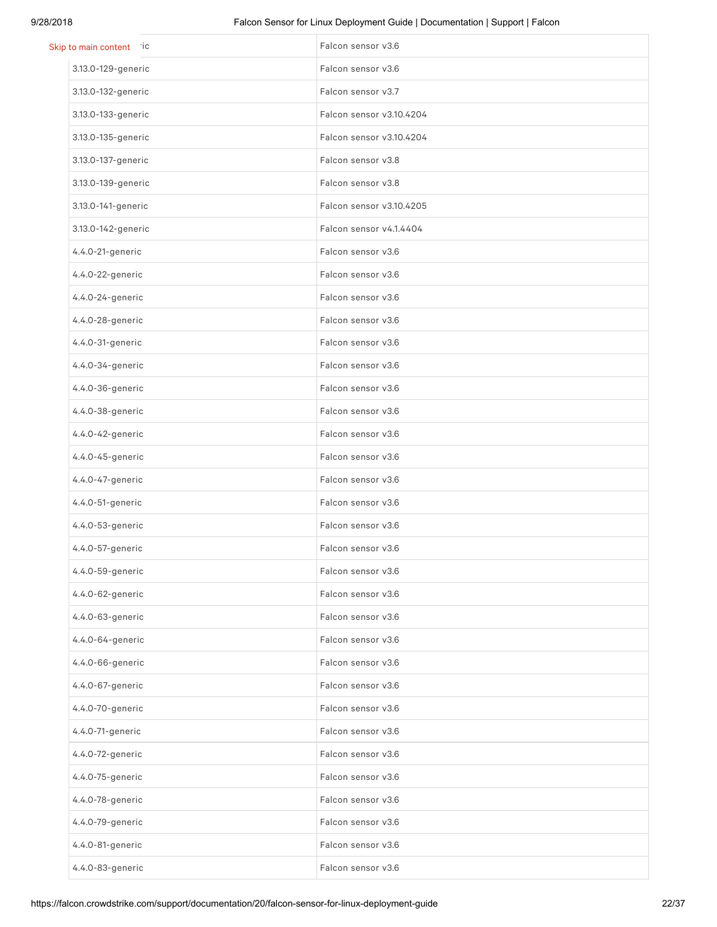| Skip to main content ic | Falcon sensor v3.6       |
|-------------------------|--------------------------|
| 3.13.0-129-generic      | Falcon sensor v3.6       |
| 3.13.0-132-generic      | Falcon sensor v3.7       |
| 3.13.0-133-generic      | Falcon sensor v3.10.4204 |
| 3.13.0-135-generic      | Falcon sensor v3.10.4204 |
| 3.13.0-137-generic      | Falcon sensor v3.8       |
| 3.13.0-139-generic      | Falcon sensor v3.8       |
| 3.13.0-141-generic      | Falcon sensor v3.10.4205 |
| 3.13.0-142-generic      | Falcon sensor v4.1.4404  |
| 4.4.0-21-generic        | Falcon sensor v3.6       |
| 4.4.0-22-generic        | Falcon sensor v3.6       |
| 4.4.0-24-generic        | Falcon sensor v3.6       |
| 4.4.0-28-generic        | Falcon sensor v3.6       |
| 4.4.0-31-generic        | Falcon sensor v3.6       |
| 4.4.0-34-generic        | Falcon sensor v3.6       |
| 4.4.0-36-generic        | Falcon sensor v3.6       |
| 4.4.0-38-generic        | Falcon sensor v3.6       |
| 4.4.0-42-generic        | Falcon sensor v3.6       |
| 4.4.0-45-generic        | Falcon sensor v3.6       |
| 4.4.0-47-generic        | Falcon sensor v3.6       |
| 4.4.0-51-generic        | Falcon sensor v3.6       |
| 4.4.0-53-generic        | Falcon sensor v3.6       |
| 4.4.0-57-generic        | Falcon sensor v3.6       |
| 4.4.0-59-generic        | Falcon sensor v3.6       |
| 4.4.0-62-generic        | Falcon sensor v3.6       |
| 4.4.0-63-generic        | Falcon sensor v3.6       |
| 4.4.0-64-generic        | Falcon sensor v3.6       |
| 4.4.0-66-generic        | Falcon sensor v3.6       |
| 4.4.0-67-generic        | Falcon sensor v3.6       |
| 4.4.0-70-generic        | Falcon sensor v3.6       |
| 4.4.0-71-generic        | Falcon sensor v3.6       |
| 4.4.0-72-generic        | Falcon sensor v3.6       |
| 4.4.0-75-generic        | Falcon sensor v3.6       |
| 4.4.0-78-generic        | Falcon sensor v3.6       |
| 4.4.0-79-generic        | Falcon sensor v3.6       |
| 4.4.0-81-generic        | Falcon sensor v3.6       |
| 4.4.0-83-generic        | Falcon sensor v3.6       |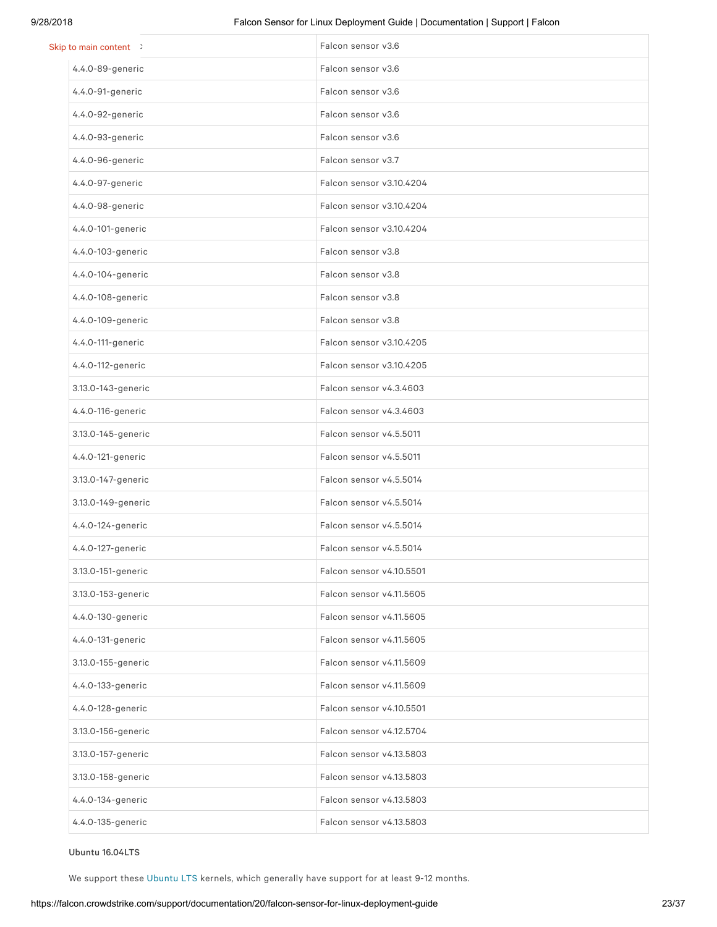| Skip to main content > | Falcon sensor v3.6       |
|------------------------|--------------------------|
| 4.4.0-89-generic       | Falcon sensor v3.6       |
| 4.4.0-91-generic       | Falcon sensor v3.6       |
| 4.4.0-92-generic       | Falcon sensor v3.6       |
| 4.4.0-93-generic       | Falcon sensor v3.6       |
| 4.4.0-96-generic       | Falcon sensor v3.7       |
| 4.4.0-97-generic       | Falcon sensor v3.10.4204 |
| 4.4.0-98-generic       | Falcon sensor v3.10.4204 |
| 4.4.0-101-generic      | Falcon sensor v3.10.4204 |
| 4.4.0-103-generic      | Falcon sensor v3.8       |
| 4.4.0-104-generic      | Falcon sensor v3.8       |
| 4.4.0-108-generic      | Falcon sensor v3.8       |
| 4.4.0-109-generic      | Falcon sensor v3.8       |
| 4.4.0-111-generic      | Falcon sensor v3.10.4205 |
| 4.4.0-112-generic      | Falcon sensor v3.10.4205 |
| 3.13.0-143-generic     | Falcon sensor v4.3.4603  |
| 4.4.0-116-generic      | Falcon sensor v4.3.4603  |
| 3.13.0-145-generic     | Falcon sensor v4.5.5011  |
| 4.4.0-121-generic      | Falcon sensor v4.5.5011  |
| 3.13.0-147-generic     | Falcon sensor v4.5.5014  |
| 3.13.0-149-generic     | Falcon sensor v4.5.5014  |
| 4.4.0-124-generic      | Falcon sensor v4.5.5014  |
| 4.4.0-127-generic      | Falcon sensor v4.5.5014  |
| 3.13.0-151-generic     | Falcon sensor v4.10.5501 |
| 3.13.0-153-generic     | Falcon sensor v4.11.5605 |
| 4.4.0-130-generic      | Falcon sensor v4.11.5605 |
| 4.4.0-131-generic      | Falcon sensor v4.11.5605 |
| 3.13.0-155-generic     | Falcon sensor v4.11.5609 |
| 4.4.0-133-generic      | Falcon sensor v4.11.5609 |
| 4.4.0-128-generic      | Falcon sensor v4.10.5501 |
| 3.13.0-156-generic     | Falcon sensor v4.12.5704 |
| 3.13.0-157-generic     | Falcon sensor v4.13.5803 |
| 3.13.0-158-generic     | Falcon sensor v4.13.5803 |
| 4.4.0-134-generic      | Falcon sensor v4.13.5803 |
| 4.4.0-135-generic      | Falcon sensor v4.13.5803 |

Ubuntu 16.04LTS

We support these [Ubuntu](https://wiki.ubuntu.com/LTS) LTS kernels, which generally have support for at least 9-12 months.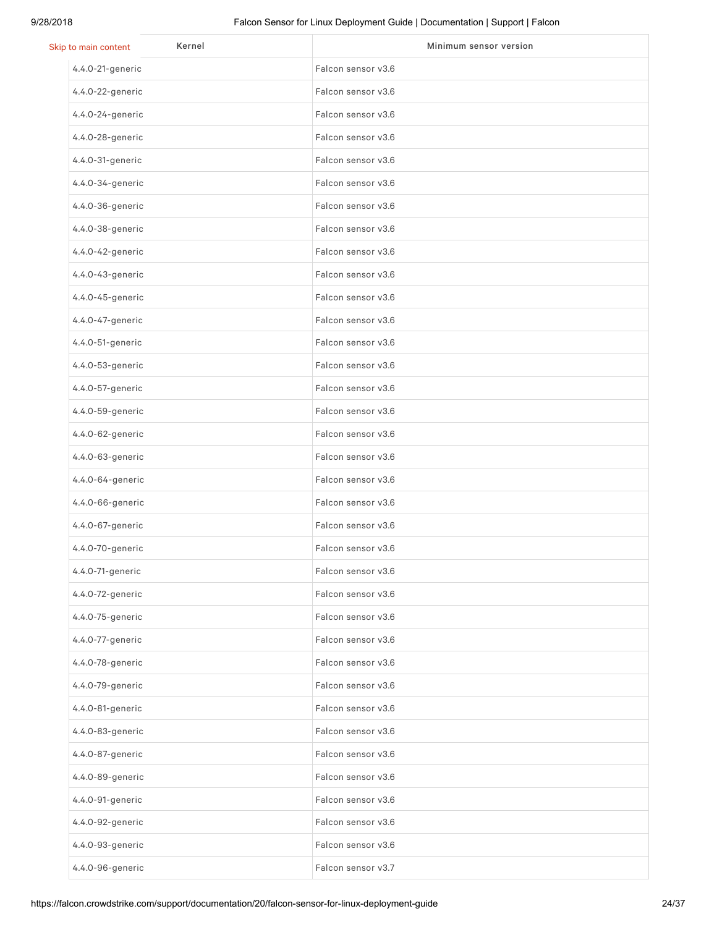| Kernel<br>Skip to main content | Minimum sensor version |
|--------------------------------|------------------------|
| 4.4.0-21-generic               | Falcon sensor v3.6     |
| 4.4.0-22-generic               | Falcon sensor v3.6     |
| 4.4.0-24-generic               | Falcon sensor v3.6     |
| 4.4.0-28-generic               | Falcon sensor v3.6     |
| 4.4.0-31-generic               | Falcon sensor v3.6     |
| 4.4.0-34-generic               | Falcon sensor v3.6     |
| 4.4.0-36-generic               | Falcon sensor v3.6     |
| 4.4.0-38-generic               | Falcon sensor v3.6     |
| 4.4.0-42-generic               | Falcon sensor v3.6     |
| 4.4.0-43-generic               | Falcon sensor v3.6     |
| 4.4.0-45-generic               | Falcon sensor v3.6     |
| 4.4.0-47-generic               | Falcon sensor v3.6     |
| 4.4.0-51-generic               | Falcon sensor v3.6     |
| 4.4.0-53-generic               | Falcon sensor v3.6     |
| 4.4.0-57-generic               | Falcon sensor v3.6     |
| 4.4.0-59-generic               | Falcon sensor v3.6     |
| 4.4.0-62-generic               | Falcon sensor v3.6     |
| 4.4.0-63-generic               | Falcon sensor v3.6     |
| 4.4.0-64-generic               | Falcon sensor v3.6     |
| 4.4.0-66-generic               | Falcon sensor v3.6     |
| 4.4.0-67-generic               | Falcon sensor v3.6     |
| 4.4.0-70-generic               | Falcon sensor v3.6     |
| 4.4.0-71-generic               | Falcon sensor v3.6     |
| 4.4.0-72-generic               | Falcon sensor v3.6     |
| 4.4.0-75-generic               | Falcon sensor v3.6     |
| 4.4.0-77-generic               | Falcon sensor v3.6     |
| 4.4.0-78-generic               | Falcon sensor v3.6     |
| 4.4.0-79-generic               | Falcon sensor v3.6     |
| 4.4.0-81-generic               | Falcon sensor v3.6     |
| 4.4.0-83-generic               | Falcon sensor v3.6     |
| 4.4.0-87-generic               | Falcon sensor v3.6     |
| 4.4.0-89-generic               | Falcon sensor v3.6     |
| 4.4.0-91-generic               | Falcon sensor v3.6     |
| 4.4.0-92-generic               | Falcon sensor v3.6     |
| 4.4.0-93-generic               | Falcon sensor v3.6     |
| 4.4.0-96-generic               | Falcon sensor v3.7     |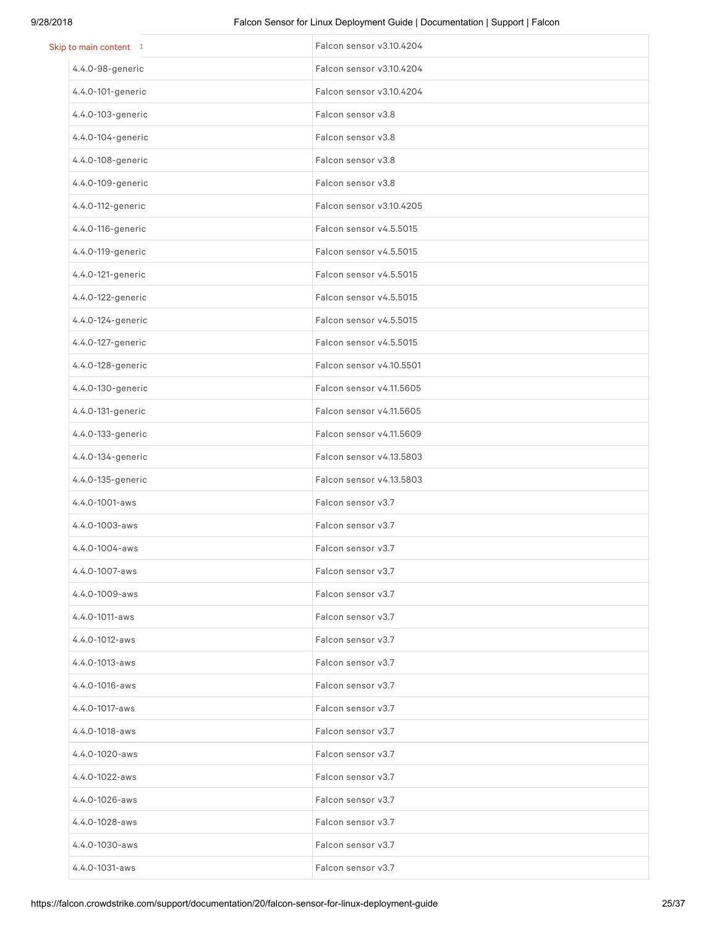| Skip to main content > | Falcon sensor v3.10.4204 |
|------------------------|--------------------------|
| 4.4.0-98-generic       | Falcon sensor v3.10.4204 |
| 4.4.0-101-generic      | Falcon sensor v3.10.4204 |
| 4.4.0-103-generic      | Falcon sensor v3.8       |
| 4.4.0-104-generic      | Falcon sensor v3.8       |
| 4.4.0-108-generic      | Falcon sensor v3.8       |
| 4.4.0-109-generic      | Falcon sensor v3.8       |
| 4.4.0-112-generic      | Falcon sensor v3.10.4205 |
| 4.4.0-116-generic      | Falcon sensor v4.5.5015  |
| 4.4.0-119-generic      | Falcon sensor v4.5.5015  |
| 4.4.0-121-generic      | Falcon sensor v4.5.5015  |
| 4.4.0-122-generic      | Falcon sensor v4.5.5015  |
| 4.4.0-124-generic      | Falcon sensor v4.5.5015  |
| 4.4.0-127-generic      | Falcon sensor v4.5.5015  |
| 4.4.0-128-generic      | Falcon sensor v4.10.5501 |
| 4.4.0-130-generic      | Falcon sensor v4.11.5605 |
| 4.4.0-131-generic      | Falcon sensor v4.11.5605 |
| 4.4.0-133-generic      | Falcon sensor v4.11.5609 |
| 4.4.0-134-generic      | Falcon sensor v4.13.5803 |
| 4.4.0-135-generic      | Falcon sensor v4.13.5803 |
| 4.4.0-1001-aws         | Falcon sensor v3.7       |
| 4.4.0-1003-aws         | Falcon sensor v3.7       |
| 4.4.0-1004-aws         | Falcon sensor v3.7       |
| 4.4.0-1007-aws         | Falcon sensor v3.7       |
| 4.4.0-1009-aws         | Falcon sensor v3.7       |
| 4.4.0-1011-aws         | Falcon sensor v3.7       |
| 4.4.0-1012-aws         | Falcon sensor v3.7       |
| 4.4.0-1013-aws         | Falcon sensor v3.7       |
| 4.4.0-1016-aws         | Falcon sensor v3.7       |
| 4.4.0-1017-aws         | Falcon sensor v3.7       |
| 4.4.0-1018-aws         | Falcon sensor v3.7       |
| 4.4.0-1020-aws         | Falcon sensor v3.7       |
| 4.4.0-1022-aws         | Falcon sensor v3.7       |
| 4.4.0-1026-aws         | Falcon sensor v3.7       |
| 4.4.0-1028-aws         | Falcon sensor v3.7       |
| 4.4.0-1030-aws         | Falcon sensor v3.7       |
| $4.4.0 - 1031 - aws$   | Falcon sensor v3.7       |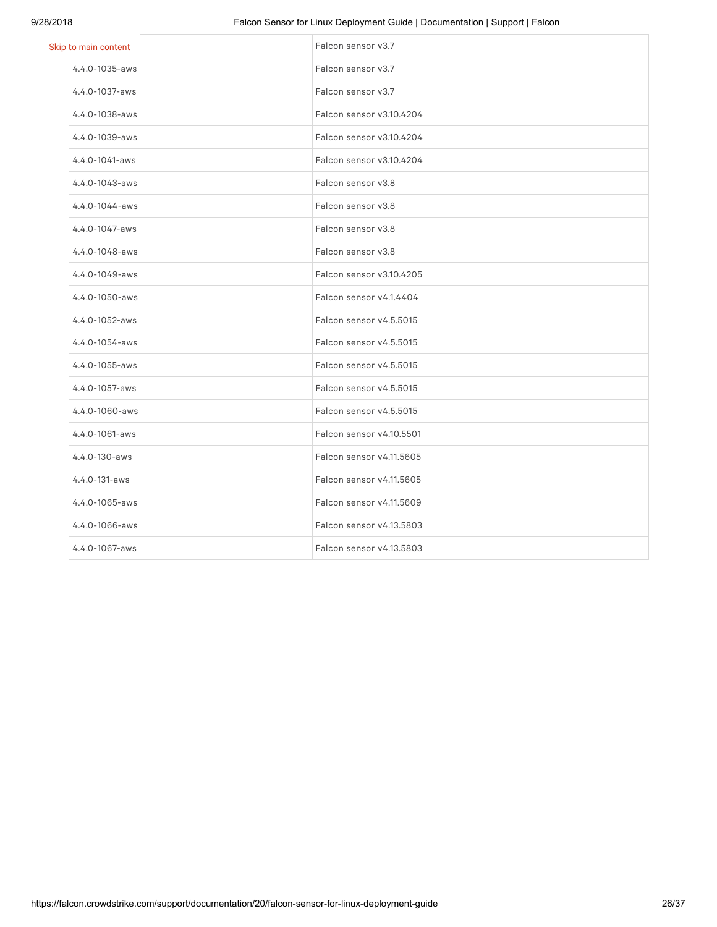### 9/28/2018 Falcon Sensor for Linux Deployment Guide | Documentation | Support | Falcon

| Skip to main content | Falcon sensor v3.7       |
|----------------------|--------------------------|
| $4.4.0 - 1035 - aws$ | Falcon sensor v3.7       |
| $4.4.0 - 1037 - aws$ | Falcon sensor v3.7       |
| 4.4.0-1038-aws       | Falcon sensor v3.10.4204 |
| 4.4.0-1039-aws       | Falcon sensor v3.10.4204 |
| 4.4.0-1041-aws       | Falcon sensor v3.10.4204 |
| 4.4.0-1043-aws       | Falcon sensor v3.8       |
| $4.4.0 - 1044 - aws$ | Falcon sensor v3.8       |
| 4.4.0-1047-aws       | Falcon sensor v3.8       |
| 4.4.0-1048-aws       | Falcon sensor v3.8       |
| 4.4.0-1049-aws       | Falcon sensor v3.10.4205 |
| 4.4.0-1050-aws       | Falcon sensor v4.1.4404  |
| 4.4.0-1052-aws       | Falcon sensor v4.5.5015  |
| 4.4.0-1054-aws       | Falcon sensor v4.5.5015  |
| 4.4.0-1055-aws       | Falcon sensor v4.5.5015  |
| 4.4.0-1057-aws       | Falcon sensor v4.5.5015  |
| $4.4.0 - 1060 - aws$ | Falcon sensor v4.5.5015  |
| 4.4.0-1061-aws       | Falcon sensor v4.10.5501 |
| $4.4.0 - 130 - aws$  | Falcon sensor v4.11.5605 |
| 4.4.0-131-aws        | Falcon sensor v4.11.5605 |
| 4.4.0-1065-aws       | Falcon sensor v4.11.5609 |
| 4.4.0-1066-aws       | Falcon sensor v4.13.5803 |
| 4.4.0-1067-aws       | Falcon sensor v4.13.5803 |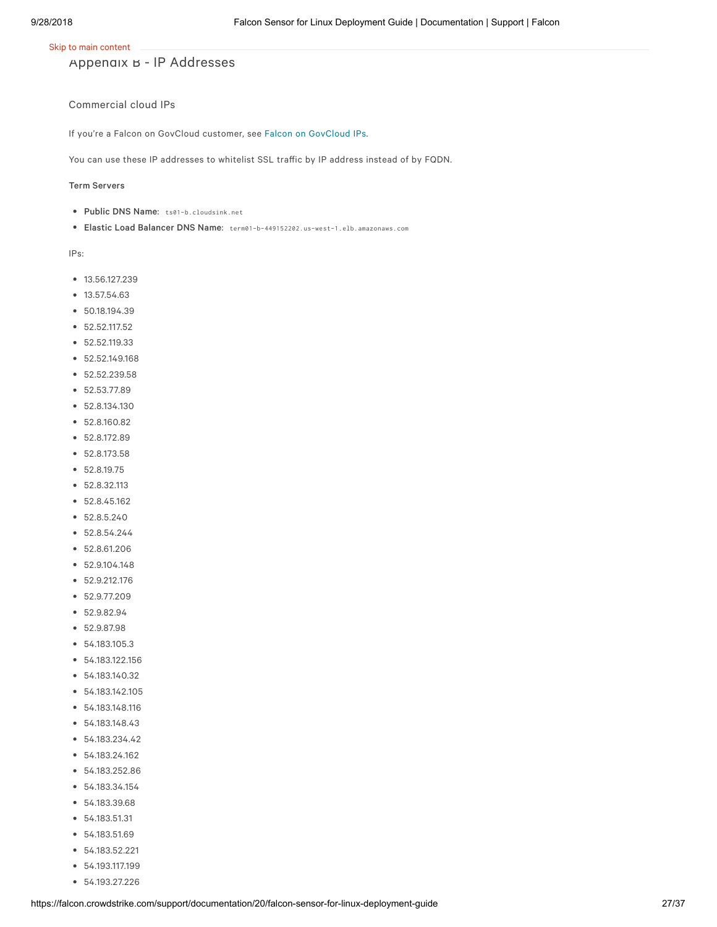Appendix B - IP Addresses

#### Commercial cloud IPs

If you're a Falcon on GovCloud customer, see Falcon on [GovCloud](https://falcon.crowdstrike.com/support/documentation/20/falcon-host-sensor-deployment-guide-windows#govcloudips) IPs.

You can use these IP addresses to whitelist SSL traffic by IP address instead of by FQDN.

#### Term Servers

- Public DNS Name: ts01-b.cloudsink.net
- Elastic Load Balancer DNS Name: term01-b-449152202.us-west-1.elb.amazonaws.com

- $13.56.127.239$
- 13.57.54.63
- 50.18.194.39
- 52.52.117.52
- 52.52.119.33
- 52.52.149.168
- $52.52.239.58$
- $52.53.77.89$
- 52.8.134.130
- 52.8.160.82
- 52.8.172.89
- 52.8.173.58
- 52.8.19.75
- 52.8.32.113
- 52.8.45.162
- 52.8.5.240
- $52.8.54.244$
- 52.8.61.206
- 52.9.104.148
- 52.9.212.176
- 52.9.77.209
- 52.9.82.94
- 52.9.87.98
- 54.183.105.3
- 54.183.122.156
- 54.183.140.32
- 54.183.142.105
- 54.183.148.116
- 54.183.148.43
- 54.183.234.42
- 54.183.24.162
- 54.183.252.86
- 54.183.34.154
- 54.183.39.68
- 54.183.51.31
- 54.183.51.69
- 54.183.52.221
- 54.193.117.199
- 54.193.27.226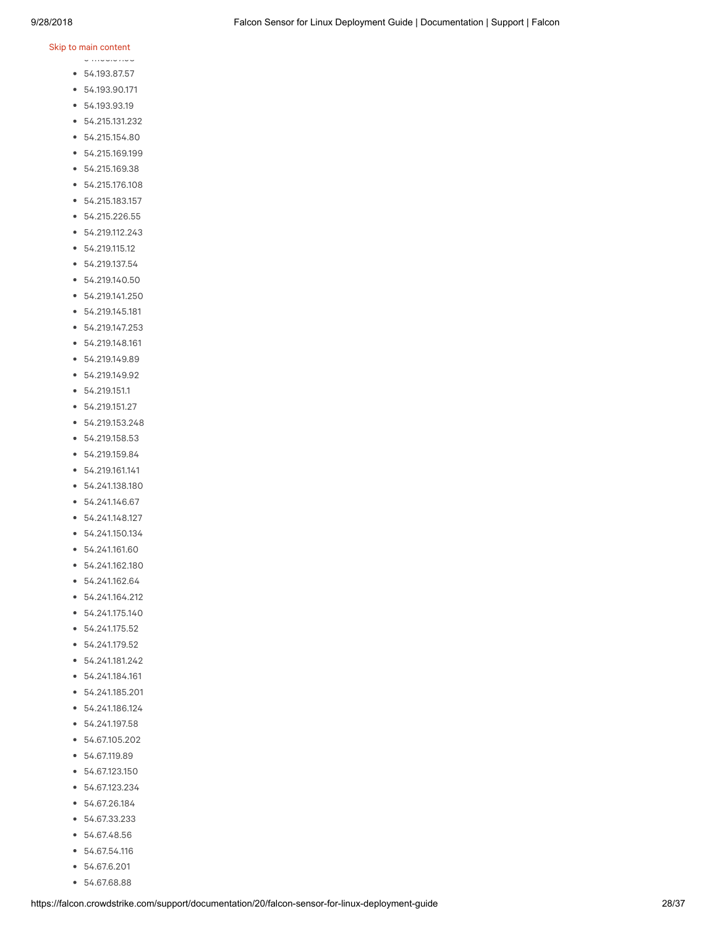### .<br>Skip to main content

54.193.67.98

- 54.193.87.57
- 54.193.90.171
- 54.193.93.19
- 54.215.131.232
- 54.215.154.80
- 54.215.169.199
- 54.215.169.38
- 54.215.176.108
- 54.215.183.157
- 54.215.226.55
- 54.219.112.243
- 54.219.115.12
- 54.219.137.54
- 54.219.140.50
- 54.219.141.250
- 54.219.145.181
- 54.219.147.253
- 54.219.148.161
- 54.219.149.89
- 54.219.149.92
- 54.219.151.1
- 54.219.151.27
- 54.219.153.248
- 54.219.158.53
- 54.219.159.84
- 54.219.161.141
- 54.241.138.180
- 54.241.146.67
- 54.241.148.127
- 54.241.150.134
- 54.241.161.60
- 54.241.162.180
- 54.241.162.64
- 54.241.164.212
- 54.241.175.140
- 54.241.175.52
- 54.241.179.52
- 54.241.181.242
- 54.241.184.161
- 54.241.185.201
- 54.241.186.124
- 54.241.197.58
- 54.67.105.202
- 54.67.119.89
- 54.67.123.150
- 54.67.123.234
- 54.67.26.184
- 54.67.33.233
- 54.67.48.56
- 54.67.54.116
- 54.67.6.201
- 54.67.68.88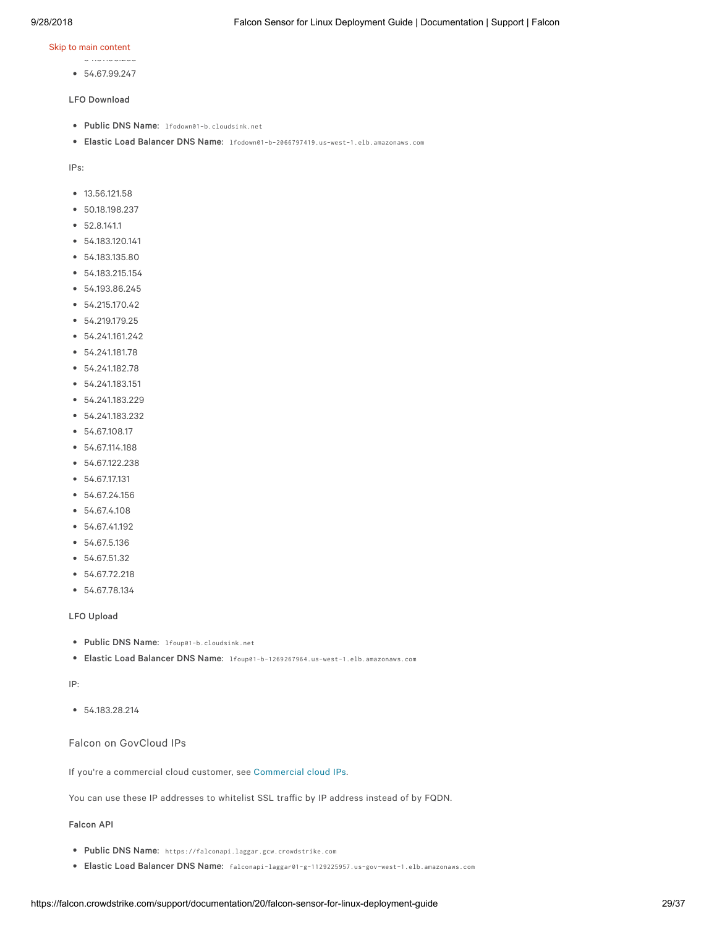- 54.67.96.255
- 54.67.99.247

#### LFO Download

- Public DNS Name: lfodown01-b.cloudsink.net
- Elastic Load Balancer DNS Name: lfodown01-b-2066797419.us-west-1.elb.amazonaws.com

IPs:

- $13.56.121.58$
- 50.18.198.237
- 52.8.141.1
- 54.183.120.141
- 54.183.135.80
- 54.183.215.154
- 54.193.86.245
- 54.215.170.42
- 54.219.179.25
- 54.241.161.242
- 54.241.181.78
- 54.241.182.78
- 54.241.183.151
- 54.241.183.229
- 54.241.183.232
- $54.67.108.17$
- 54.67.114.188
- 54.67.122.238
- 54.67.17.131
- 54.67.24.156
- 54.67.4.108
- 54.67.41.192
- 54.67.5.136
- 54.67.51.32
- 54.67.72.218
- 54.67.78.134

#### LFO Upload

- Public DNS Name: lfoup01-b.cloudsink.net
- Elastic Load Balancer DNS Name: lfoup01-b-1269267964.us-west-1.elb.amazonaws.com

IP:

54.183.28.214

#### Falcon on GovCloud IPs

If you're a commercial cloud customer, see [Commercial](https://falcon.crowdstrike.com/support/documentation/20/falcon-host-sensor-deployment-guide-windows#ccloudips) cloud IPs.

You can use these IP addresses to whitelist SSL traffic by IP address instead of by FQDN.

Falcon API

- Public DNS Name: https://falconapi.laggar.gcw.crowdstrike.com
- Elastic Load Balancer DNS Name: falconapi-laggar01-g-1129225957.us-gov-west-1.elb.amazonaws.com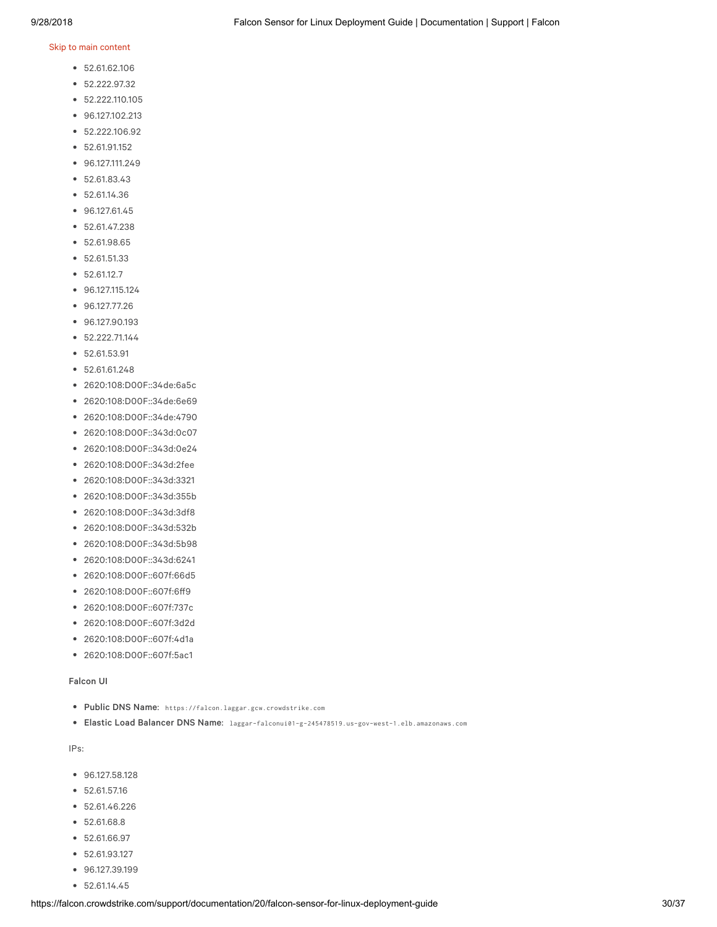- 52.61.62.106
- 52.222.97.32
- $\bullet$  52.222.110.105
- 96.127.102.213
- 52.222.106.92
- 52.61.91.152
- 96.127.111.249
- 52.61.83.43
- 52.61.14.36
- 96.127.61.45
- 52.61.47.238
- 52.61.98.65
- 52.61.51.33
- 52.61.12.7
- 96.127.115.124
- 96.127.77.26
- 96.127.90.193
- $\bullet$  52.222.71.144
- $52.61.53.91$
- 52.61.61.248
- 2620:108:D00F::34de:6a5c
- 2620:108:D00F::34de:6e69
- 2620:108:D00F::34de:4790
- 2620:108:D00F::343d:0c07
- 2620:108:D00F::343d:0e24
- 2620:108:D00F::343d:2fee
- 2620:108:D00F::343d:3321
- 2620:108:D00F::343d:355b
- 2620:108:D00F::343d:3df8
- 2620:108:D00F::343d:532b
- 2620:108:D00F::343d:5b98
- 2620:108:D00F::343d:6241
- 2620:108:D00F::607f:66d5
- 2620:108:D00F::607f:6ff9
- 2620:108:D00F::607f:737c
- 2620:108:D00F::607f:3d2d
- 2620:108:D00F::607f:4d1a
- 2620:108:D00F::607f:5ac1

#### Falcon UI

- Public DNS Name: https://falcon.laggar.gcw.crowdstrike.com
- Elastic Load Balancer DNS Name: laggar-falconui01-g-245478519.us-gov-west-1.elb.amazonaws.com

- 96.127.58.128
- $52.61.57.16$
- 52.61.46.226
- 52.61.68.8
- 52.61.66.97
- 52.61.93.127
- 96.127.39.199
- 52.61.14.45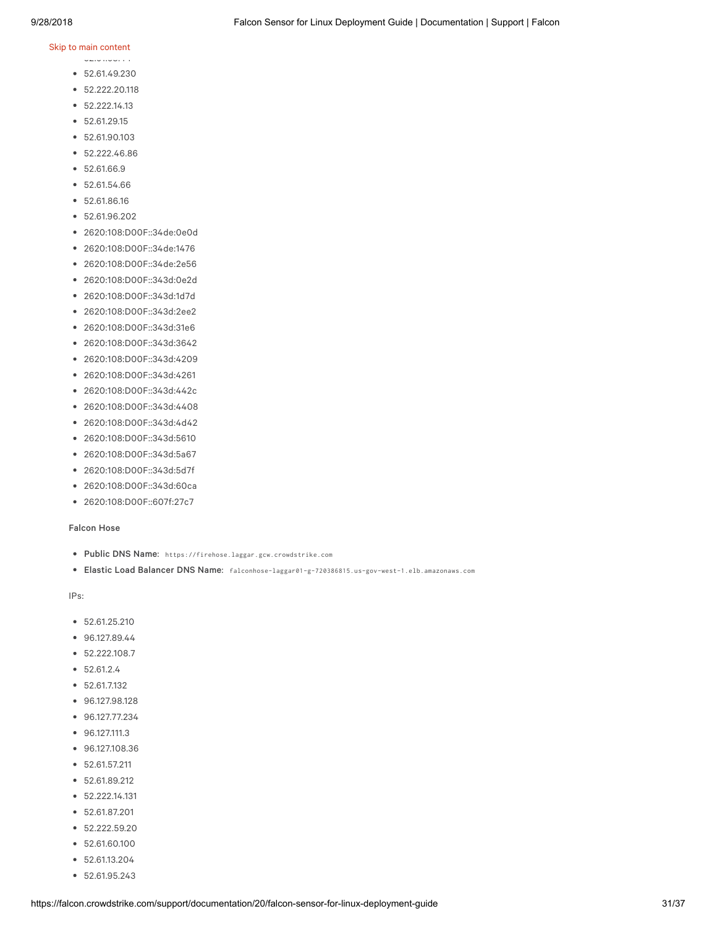$52.61.61.61.44$ 

- 52.61.49.230
- 52.222.20.118
- $52.222.14.13$
- $52.61.29.15$
- 52.61.90.103
- 52.222.46.86
- 52.61.66.9
- 52.61.54.66
- 52.61.86.16
- 52.61.96.202
- 2620:108:D00F::34de:0e0d
- 2620:108:D00F::34de:1476
- 2620:108:D00F::34de:2e56
- 2620:108:D00F::343d:0e2d
- 2620:108:D00F::343d:1d7d
- 2620:108:D00F::343d:2ee2
- 2620:108:D00F::343d:31e6
- 2620:108:D00F::343d:3642
- 2620:108:D00F::343d:4209
- 2620:108:D00F::343d:4261
- 2620:108:D00F::343d:442c
- 2620:108:D00F::343d:4408
- 2620:108:D00F::343d:4d42
- 2620:108:D00F::343d:5610
- 2620:108:D00F::343d:5a67
- 2620:108:D00F::343d:5d7f
- 2620:108:D00F::343d:60ca
- 2620:108:D00F::607f:27c7

#### Falcon Hose

- Public DNS Name: https://firehose.laggar.gcw.crowdstrike.com
- Elastic Load Balancer DNS Name: falconhose-laggar01-g-720386815.us-gov-west-1.elb.amazonaws.com

- $52.61.25.210$
- 96.127.89.44
- $\bullet$  52.222.108.7
- $52.61.2.4$
- 52.61.7.132
- 96.127.98.128
- 96.127.77.234
- 96.127.111.3
- 96.127.108.36
- 52.61.57.211
- 52.61.89.212
- 52.222.14.131
- 52.61.87.201
- 52.222.59.20
- 52.61.60.100
- 52.61.13.204
- 52.61.95.243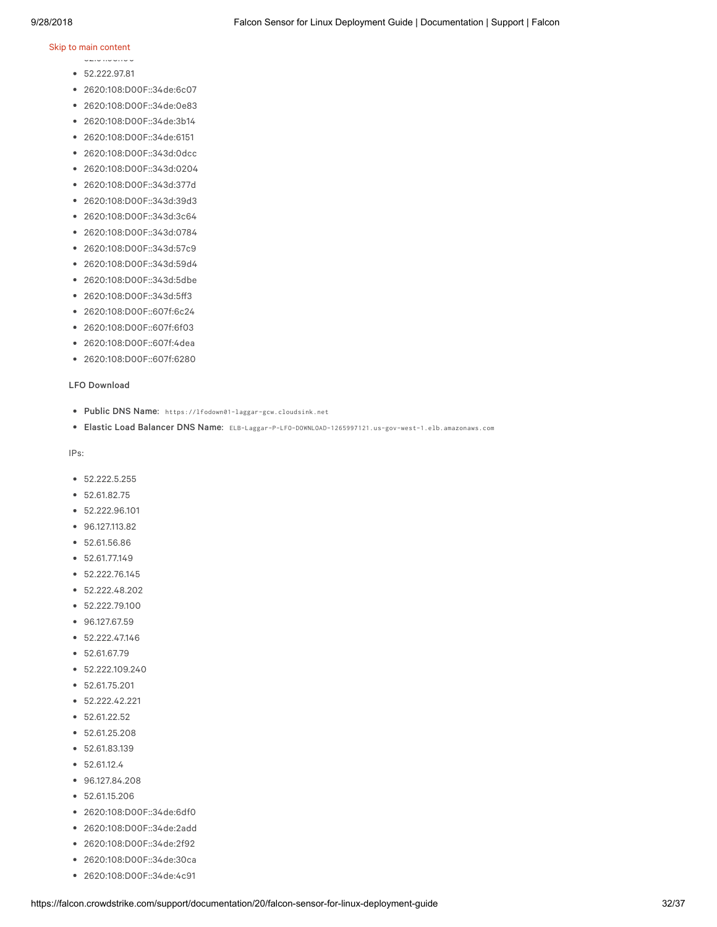### .<br>Skip to main content

- 52.61.93.190
- 52.222.97.81
- 2620:108:D00F::34de:6c07
- 2620:108:D00F::34de:0e83
- 2620:108:D00F::34de:3b14
- 2620:108:D00F::34de:6151
- 2620:108:D00F::343d:0dcc
- 2620:108:D00F::343d:0204
- 2620:108:D00F::343d:377d
- 2620:108:D00F::343d:39d3
- 2620:108:D00F::343d:3c64
- 2620:108:D00F::343d:0784
- 2620:108:D00F::343d:57c9
- 2620:108:D00F::343d:59d4
- 2620:108:D00F::343d:5dbe
- 2620:108:D00F::343d:5ff3
- 2620:108:D00F::607f:6c24
- 2620:108:D00F::607f:6f03
- 2620:108:D00F::607f:4dea
- 2620:108:D00F::607f:6280

#### LFO Download

- Public DNS Name: https://lfodown01-laggar-gcw.cloudsink.net
- Elastic Load Balancer DNS Name: ELB-Laggar-P-LFO-DOWNLOAD-1265997121.us-gov-west-1.elb.amazonaws.com

- 52.222.5.255
- 52.61.82.75
- 52.222.96.101
- 96.127.113.82
- 52.61.56.86
- 52.61.77.149
- 52.222.76.145
- 52.222.48.202
- 52.222.79.100
- $96.127.67.59$
- 52.222.47.146
- $52.61.67.79$
- $52.222.109.240$
- 52.61.75.201
- 52.222.42.221
- $52.61.22.52$
- 52.61.25.208
- 52.61.83.139
- $52.61.12.4$
- 96.127.84.208
- 52.61.15.206
- 2620:108:D00F::34de:6df0
- 2620:108:D00F::34de:2add
- 2620:108:D00F::34de:2f92
- 2620:108:D00F::34de:30ca
- 2620:108:D00F::34de:4c91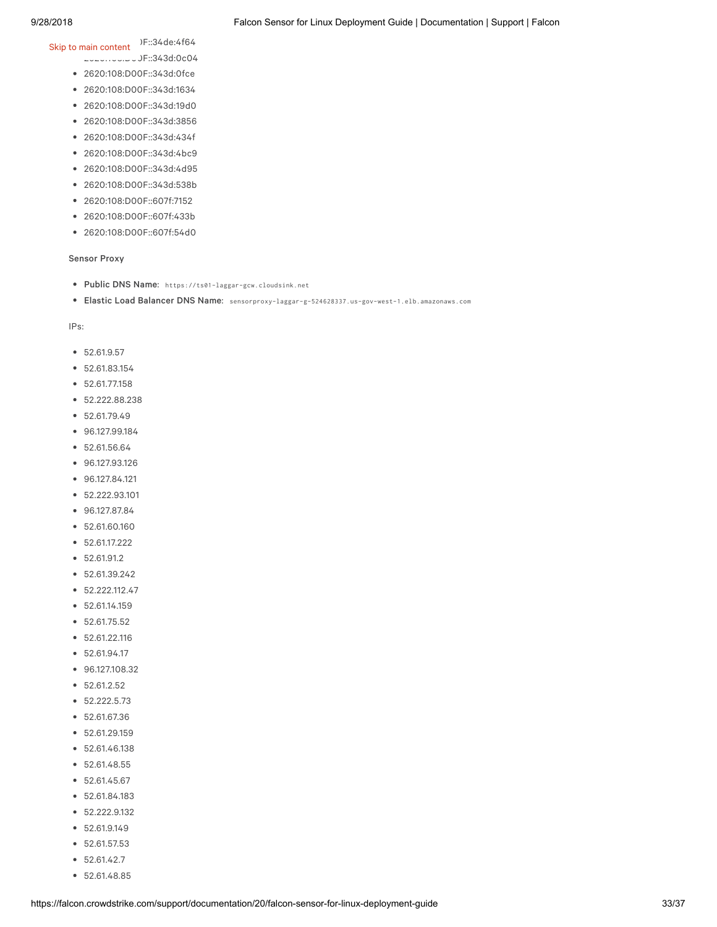2620:108:D00F::34de:4f64 Skip to main content

- 2620:108:D00F::343d:0c04
- 2620:108:D00F::343d:0fce
- 2620:108:D00F::343d:1634
- 2620:108:D00F::343d:19d0
- 2620:108:D00F::343d:3856
- 2620:108:D00F::343d:434f
- 2620:108:D00F::343d:4bc9
- 2620:108:D00F::343d:4d95
- 2620:108:D00F::343d:538b
- 2620:108:D00F::607f:7152
- 2620:108:D00F::607f:433b
- 2620:108:D00F::607f:54d0

### Sensor Proxy

- Public DNS Name: https://ts01-laggar-gcw.cloudsink.net
- Elastic Load Balancer DNS Name: sensorproxy-laggar-g-524628337.us-gov-west-1.elb.amazonaws.com

- 52.61.9.57
- 52.61.83.154
- $52.61.77.158$
- 52.222.88.238
- $52.61.79.49$
- 96.127.99.184
- 52.61.56.64
- 96.127.93.126
- 96.127.84.121
- 52.222.93.101
- 96.127.87.84
- 52.61.60.160
- 52.61.17.222
- 52.61.91.2
- 52.61.39.242
- 52.222.112.47
- 52.61.14.159
- 52.61.75.52
- 52.61.22.116
- $52.61.94.17$
- 96.127.108.32
- 52.61.2.52
- 52.222.5.73
- 52.61.67.36
- 52.61.29.159
- 52.61.46.138
- 52.61.48.55
- 52.61.45.67
- 52.61.84.183
- 52.222.9.132
- 52.61.9.149
- $52.61.57.53$
- $52.61.42.7$
- 52.61.48.85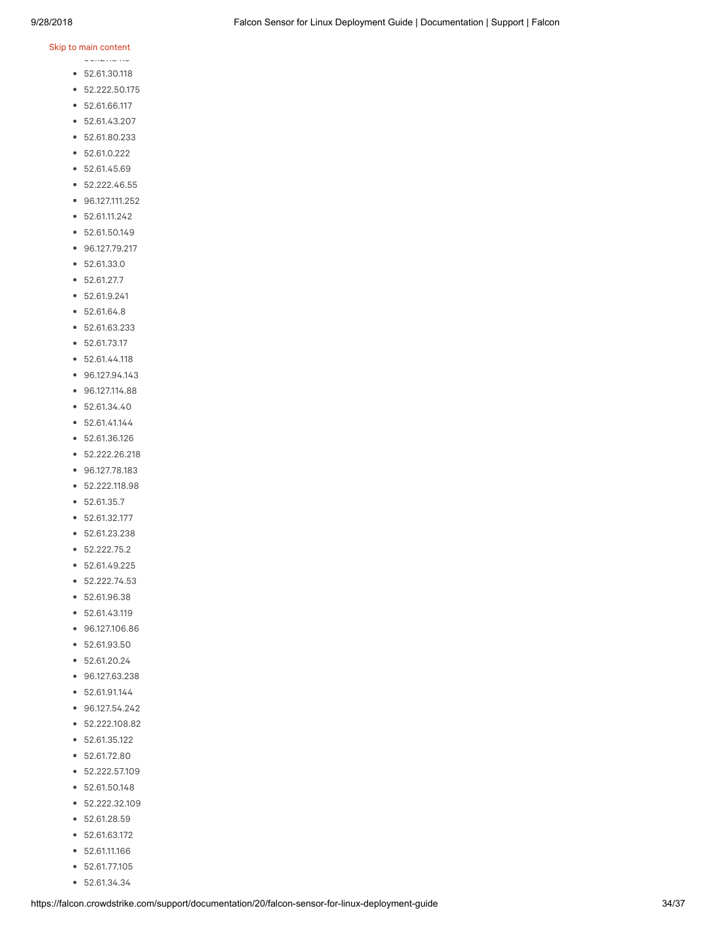$98.127.84.64.64$ 

- 52.61.30.118
- 52.222.50.175
- 52.61.66.117
- $52.61.43.207$
- 52.61.80.233
- 52.61.0.222
- 52.61.45.69
- 52.222.46.55
- 96.127.111.252
- 52.61.11.242
- 52.61.50.149
- 96.127.79.217
- 52.61.33.0
- 52.61.27.7
- 52.61.9.241
- 52.61.64.8
- 52.61.63.233
- $52.61.73.17$
- 52.61.44.118
- 96.127.94.143
- 96.127.114.88
- 52.61.34.40
- 52.61.41.144
- 52.61.36.126
- 52.222.26.218
- 96.127.78.183
- 52.222.118.98
- 52.61.35.7
- 52.61.32.177
- 52.61.23.238
- 52.222.75.2
- 52.61.49.225
- 52.222.74.53
- 52.61.96.38
- 52.61.43.119
- 96.127.106.86
- 52.61.93.50
- 52.61.20.24
- 96.127.63.238
- 52.61.91.144
- 96.127.54.242
- 52.222.108.82
- 52.61.35.122
- 52.61.72.80
- 52.222.57.109
- 52.61.50.148
- 52.222.32.109
- $52.61.28.59$
- 52.61.63.172
- 52.61.11.166
- 52.61.77.105
- 52.61.34.34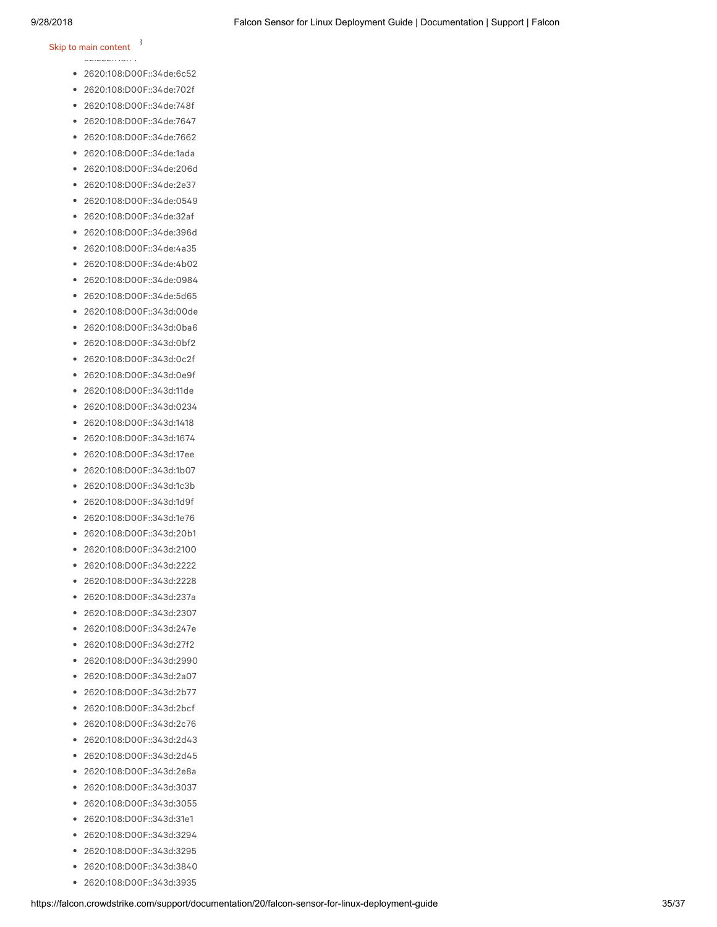### Skip to main content  $\frac{3}{2}$

- 52.222.118.71
- 2620:108:D00F::34de:6c52
- 2620:108:D00F::34de:702f
- 2620:108:D00F::34de:748f
- 2620:108:D00F::34de:7647
- 2620:108:D00F::34de:7662
- 2620:108:D00F::34de:1ada
- 2620:108:D00F::34de:206d
- 2620:108:D00F::34de:2e37
- 2620:108:D00F::34de:0549  $\bullet$
- 2620:108:D00F::34de:32af
- 2620:108:D00F::34de:396d
- 2620:108:D00F::34de:4a35
- 2620:108:D00F::34de:4b02
- 2620:108:D00F::34de:0984
- 2620:108:D00F::34de:5d65
- 2620:108:D00F::343d:00de  $\bullet$
- 2620:108:D00F::343d:0ba6
- 2620:108:D00F::343d:0bf2
- 2620:108:D00F::343d:0c2f
- 2620:108:D00F::343d:0e9f
- 2620:108:D00F::343d:11de
- 2620:108:D00F::343d:0234
- 2620:108:D00F::343d:1418
- 2620:108:D00F::343d:1674
- 2620:108:D00F::343d:17ee
- 2620:108:D00F::343d:1b07
- 2620:108:D00F::343d:1c3b
- 2620:108:D00F::343d:1d9f
- 2620:108:D00F::343d:1e76
- $\bullet$ 2620:108:D00F::343d:20b1
- 2620:108:D00F::343d:2100
- 2620:108:D00F::343d:2222  $\bullet$
- 2620:108:D00F::343d:2228
- 2620:108:D00F::343d:237a
- 2620:108:D00F::343d:2307
- 2620:108:D00F::343d:247e
- 2620:108:D00F::343d:27f2
- 2620:108:D00F::343d:2990
- 2620:108:D00F::343d:2a07
- 2620:108:D00F::343d:2b77  $\bullet$
- 2620:108:D00F::343d:2bcf
- 2620:108:D00F::343d:2c76
- 2620:108:D00F::343d:2d43
- 2620:108:D00F::343d:2d45
- 2620:108:D00F::343d:2e8a
- $\bullet$ 2620:108:D00F::343d:3037
- 2620:108:D00F::343d:3055
- 2620:108:D00F::343d:31e1
- 2620:108:D00F::343d:3294
- 2620:108:D00F::343d:3295
- 2620:108:D00F::343d:3840
- 2620:108:D00F::343d:3935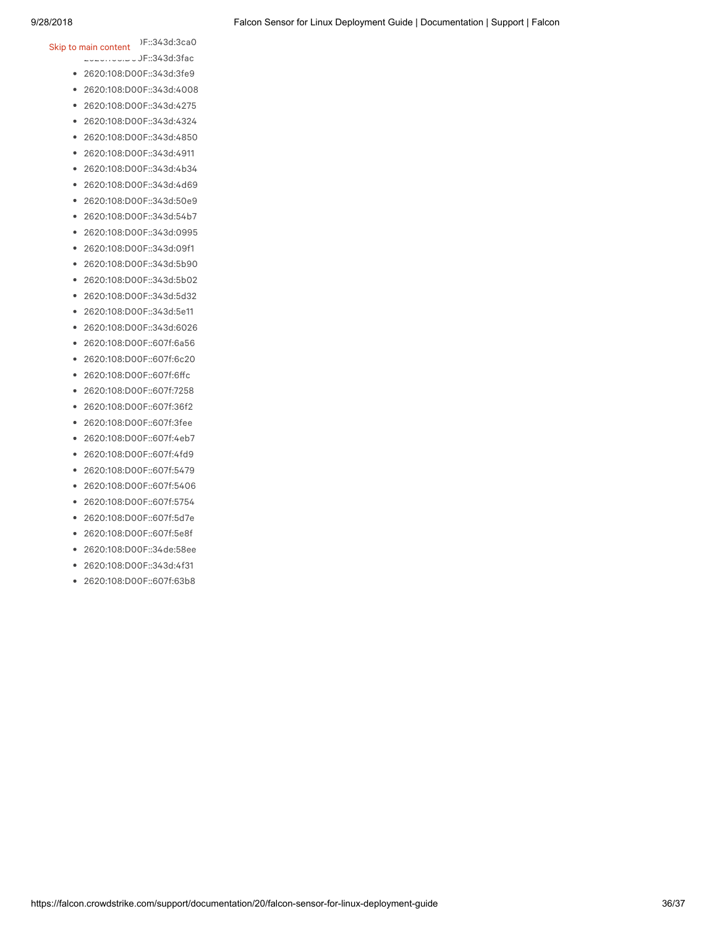### 2620:108:D00F::343d:3ca0 Skip to main content

- 2620:108:D00F::343d:3fac 2620:108:D00F::343d:3fe9
- 2620:108:D00F::343d:4008
- 2620:108:D00F::343d:4275
- 2620:108:D00F::343d:4324
- 2620:108:D00F::343d:4850
- 2620:108:D00F::343d:4911
- 2620:108:D00F::343d:4b34
- 2620:108:D00F::343d:4d69
- 2620:108:D00F::343d:50e9
- 2620:108:D00F::343d:54b7
- 2620:108:D00F::343d:0995
- 2620:108:D00F::343d:09f1
- 2620:108:D00F::343d:5b90
- 2620:108:D00F::343d:5b02
- 2620:108:D00F::343d:5d32
- 2620:108:D00F::343d:5e11
- 2620:108:D00F::343d:6026
- 2620:108:D00F::607f:6a56
- 2620:108:D00F::607f:6c20
- 2620:108:D00F::607f:6ffc
- 2620:108:D00F::607f:7258
- 2620:108:D00F::607f:36f2
- 2620:108:D00F::607f:3fee
- 2620:108:D00F::607f:4eb7
- 2620:108:D00F::607f:4fd9
- 2620:108:D00F::607f:5479
- 2620:108:D00F::607f:5406
- 2620:108:D00F::607f:5754
- 2620:108:D00F::607f:5d7e
- 2620:108:D00F::607f:5e8f
- 2620:108:D00F::34de:58ee
- 2620:108:D00F::343d:4f31
- 2620:108:D00F::607f:63b8